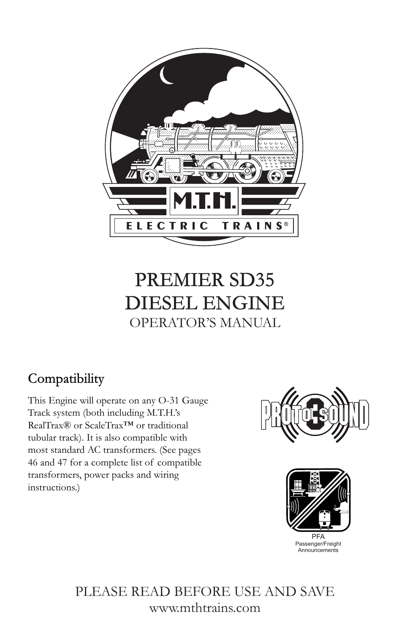

# PREMIER SD35 DIESEL ENGINE OPERATOR'S MANUAL

# Compatibility

This Engine will operate on any O-31 Gauge Track system (both including M.T.H.'s RealTrax® or ScaleTrax™ or traditional tubular track). It is also compatible with most standard AC transformers. (See pages 46 and 47 for a complete list of compatible transformers, power packs and wiring instructions.)





PLEASE READ BEFORE USE AND SAVE www.mthtrains.com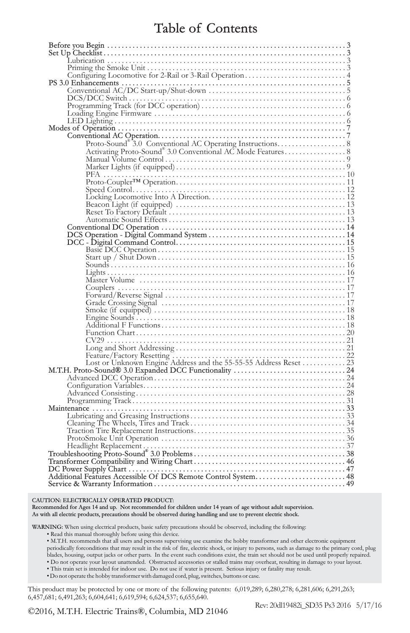### Table of Contents

| Feature/Factory Resetting<br>Lost or Unknown Engine Address and the 55-55-55 Address Reset<br>M.T.H. Proto-Sound® 3.0 Expanded DCC Functionality<br>Advanced DCC Operation<br>24<br>Configuration Variables |
|-------------------------------------------------------------------------------------------------------------------------------------------------------------------------------------------------------------|
|                                                                                                                                                                                                             |
|                                                                                                                                                                                                             |
|                                                                                                                                                                                                             |
|                                                                                                                                                                                                             |
|                                                                                                                                                                                                             |
|                                                                                                                                                                                                             |
|                                                                                                                                                                                                             |
|                                                                                                                                                                                                             |
|                                                                                                                                                                                                             |
|                                                                                                                                                                                                             |
|                                                                                                                                                                                                             |
|                                                                                                                                                                                                             |
|                                                                                                                                                                                                             |
|                                                                                                                                                                                                             |
|                                                                                                                                                                                                             |
|                                                                                                                                                                                                             |

CAUTION: ELECTRICALLY OPERATED PRODUCT:

Recommended for Ages 14 and up. Not recommended for children under 14 years of age without adult supervision. As with all electric products, precautions should be observed during handling and use to prevent electric shock.

WARNING: When using electrical products, basic safety precautions should be observed, including the following:

• Read this manual thoroughly before using this device.

• M.T.H. recommends that all users and persons supervising use examine the hobby transformer and other electronic equipment periodically forconditions that may result in the risk of fire, electric shock, or injury to persons, such as damage to the primary cord, plug blades, housing, output jacks or other parts. In the event such conditions exist, the train set should not be used until properly repaired. • Do not operate your layout unattended. Obstructed accessories or stalled trains may overheat, resulting in damage to your layout.

• This train set is intended for indoor use. Do not use if water is present. Serious injury or fatality may result.

• Do not operate the hobby transformer with damaged cord, plug, switches, buttons or case.

This product may be protected by one or more of the following patents: 6,019,289; 6,280,278; 6,281,606; 6,291,263; 6,457,681; 6,491,263; 6,604,641; 6,619,594; 6,624,537; 6,655,640.

©2016, M.T.H. Electric Trains®, Columbia, MD 21046

Rev: 20dl19482i\_SD35 Ps3 2016 5/17/16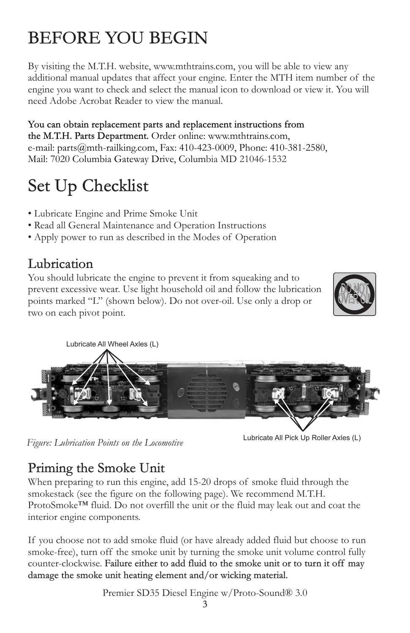# BEFORE YOU BEGIN

By visiting the M.T.H. website, www.mthtrains.com, you will be able to view any additional manual updates that affect your engine. Enter the MTH item number of the engine you want to check and select the manual icon to download or view it. You will need Adobe Acrobat Reader to view the manual.

Mail: 7020 Columbia Gateway Drive, Columbia MD 21046-1532 You can obtain replacement parts and replacement instructions from the M.T.H. Parts Department. Order online: www.mthtrains.com, e-mail: parts@mth-railking.com, Fax: 410-423-0009, Phone: 410-381-2580,

# Set Up Checklist

- Lubricate Engine and Prime Smoke Unit
- Read all General Maintenance and Operation Instructions
- Apply power to run as described in the Modes of Operation

# Lubrication

You should lubricate the engine to prevent it from squeaking and to prevent excessive wear. Use light household oil and follow the lubrication points marked "L" (shown below). Do not over-oil. Use only a drop or two on each pivot point.





*Figure: Lubrication Points on the Locomotive* Lubricate All Pick Up Roller Axles (L)

# Priming the Smoke Unit

When preparing to run this engine, add 15-20 drops of smoke fluid through the smokestack (see the figure on the following page). We recommend M.T.H. ProtoSmoke™ fluid. Do not overfill the unit or the fluid may leak out and coat the interior engine components.

If you choose not to add smoke fluid (or have already added fluid but choose to run smoke-free), turn off the smoke unit by turning the smoke unit volume control fully counter-clockwise. Failure either to add fluid to the smoke unit or to turn it off may damage the smoke unit heating element and/or wicking material.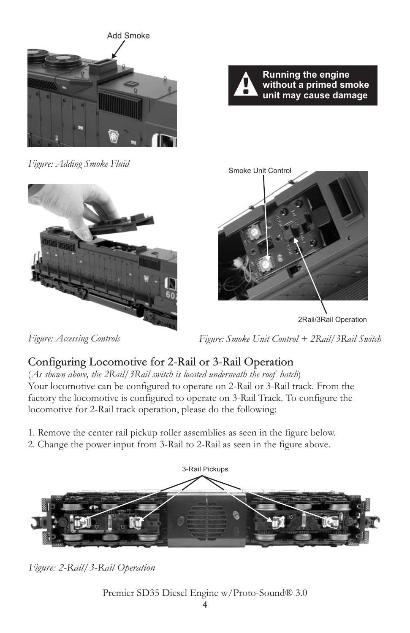



 *Figure: Adding Smoke Fluid*





 *Figure: Accessing Controls* 

 *Figure: Smoke Unit Control + 2Rail/3Rail Switch* 

### Configuring Locomotive for 2-Rail or 3-Rail Operation

(*As shown above, the 2Rail/3Rail switch is located underneath the roof hatch*) Your locomotive can be configured to operate on 2-Rail or 3-Rail track. From the factory the locomotive is configured to operate on 3-Rail Track. To configure the locomotive for 2-Rail track operation, please do the following:

1. Remove the center rail pickup roller assemblies as seen in the figure below.

2. Change the power input from 3-Rail to 2-Rail as seen in the figure above*.*



*Figure: 2-Rail/3-Rail Operation*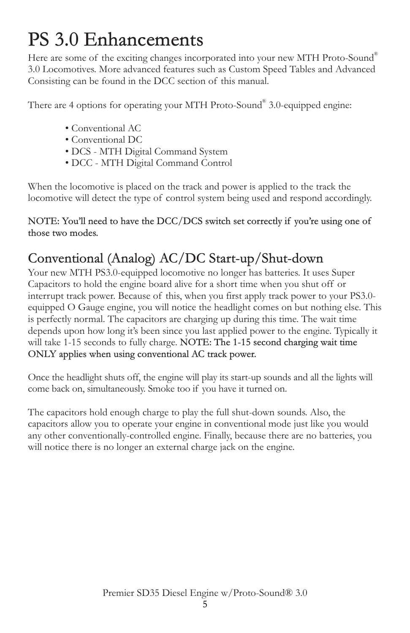# PS 3.0 Enhancements

Here are some of the exciting changes incorporated into your new MTH Proto-Sound 3.0 Locomotives. More advanced features such as Custom Speed Tables and Advanced Consisting can be found in the DCC section of this manual.

There are 4 options for operating your MTH Proto-Sound® 3.0-equipped engine:

- Conventional AC
- Conventional DC
- DCS MTH Digital Command System
- DCC MTH Digital Command Control

When the locomotive is placed on the track and power is applied to the track the locomotive will detect the type of control system being used and respond accordingly.

NOTE: You'll need to have the DCC/DCS switch set correctly if you're using one of those two modes.

# Conventional (Analog) AC/DC Start-up/Shut-down

Your new MTH PS3.0-equipped locomotive no longer has batteries. It uses Super Capacitors to hold the engine board alive for a short time when you shut off or interrupt track power. Because of this, when you first apply track power to your PS3.0 equipped O Gauge engine, you will notice the headlight comes on but nothing else. This is perfectly normal. The capacitors are charging up during this time. The wait time depends upon how long it's been since you last applied power to the engine. Typically it will take 1-15 seconds to fully charge. NOTE: The 1-15 second charging wait time ONLY applies when using conventional AC track power.

Once the headlight shuts off, the engine will play its start-up sounds and all the lights will come back on, simultaneously. Smoke too if you have it turned on.

The capacitors hold enough charge to play the full shut-down sounds. Also, the capacitors allow you to operate your engine in conventional mode just like you would any other conventionally-controlled engine. Finally, because there are no batteries, you will notice there is no longer an external charge jack on the engine.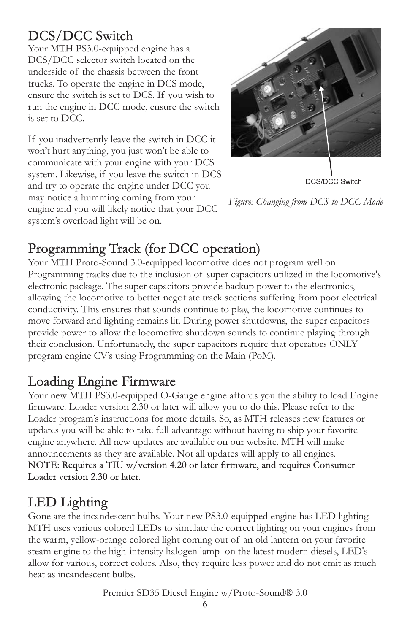# DCS/DCC Switch

Your MTH PS3.0-equipped engine has a DCS/DCC selector switch located on the underside of the chassis between the front trucks. To operate the engine in DCS mode, ensure the switch is set to DCS. If you wish to run the engine in DCC mode, ensure the switch is set to DCC.

If you inadvertently leave the switch in DCC it won't hurt anything, you just won't be able to communicate with your engine with your DCS system. Likewise, if you leave the switch in DCS and try to operate the engine under DCC you may notice a humming coming from your engine and you will likely notice that your DCC system's overload light will be on.



DCS/DCC Switch

*Figure: Changing from DCS to DCC Mode* 

# Programming Track (for DCC operation)

Your MTH Proto-Sound 3.0-equipped locomotive does not program well on Programming tracks due to the inclusion of super capacitors utilized in the locomotive's electronic package. The super capacitors provide backup power to the electronics, allowing the locomotive to better negotiate track sections suffering from poor electrical conductivity. This ensures that sounds continue to play, the locomotive continues to move forward and lighting remains lit. During power shutdowns, the super capacitors provide power to allow the locomotive shutdown sounds to continue playing through their conclusion. Unfortunately, the super capacitors require that operators ONLY program engine CV's using Programming on the Main (PoM).

# Loading Engine Firmware

Your new MTH PS3.0-equipped O-Gauge engine affords you the ability to load Engine firmware. Loader version 2.30 or later will allow you to do this. Please refer to the Loader program's instructions for more details. So, as MTH releases new features or updates you will be able to take full advantage without having to ship your favorite engine anywhere. All new updates are available on our website. MTH will make announcements as they are available. Not all updates will apply to all engines. NOTE: Requires a TIU w/version 4.20 or later firmware, and requires Consumer Loader version 2.30 or later.

# LED Lighting

Gone are the incandescent bulbs. Your new PS3.0-equipped engine has LED lighting. MTH uses various colored LEDs to simulate the correct lighting on your engines from the warm, yellow-orange colored light coming out of an old lantern on your favorite steam engine to the high-intensity halogen lamp on the latest modern diesels, LED's allow for various, correct colors. Also, they require less power and do not emit as much heat as incandescent bulbs.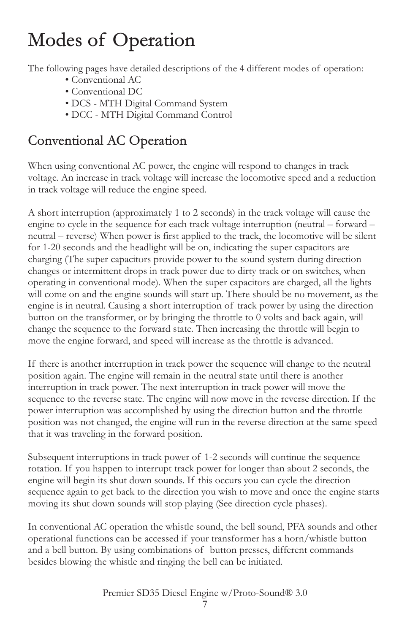# Modes of Operation

The following pages have detailed descriptions of the 4 different modes of operation:

- Conventional AC
- Conventional DC
- DCS MTH Digital Command System
- DCC MTH Digital Command Control

# Conventional AC Operation

When using conventional AC power, the engine will respond to changes in track voltage. An increase in track voltage will increase the locomotive speed and a reduction in track voltage will reduce the engine speed.

A short interruption (approximately 1 to 2 seconds) in the track voltage will cause the engine to cycle in the sequence for each track voltage interruption (neutral – forward – neutral – reverse) When power is first applied to the track, the locomotive will be silent for 1-20 seconds and the headlight will be on, indicating the super capacitors are charging (The super capacitors provide power to the sound system during direction changes or intermittent drops in track power due to dirty track or on switches, when operating in conventional mode). When the super capacitors are charged, all the lights will come on and the engine sounds will start up. There should be no movement, as the engine is in neutral. Causing a short interruption of track power by using the direction button on the transformer, or by bringing the throttle to 0 volts and back again, will change the sequence to the forward state. Then increasing the throttle will begin to move the engine forward, and speed will increase as the throttle is advanced.

If there is another interruption in track power the sequence will change to the neutral position again. The engine will remain in the neutral state until there is another interruption in track power. The next interruption in track power will move the sequence to the reverse state. The engine will now move in the reverse direction. If the power interruption was accomplished by using the direction button and the throttle position was not changed, the engine will run in the reverse direction at the same speed that it was traveling in the forward position.

Subsequent interruptions in track power of 1-2 seconds will continue the sequence rotation. If you happen to interrupt track power for longer than about 2 seconds, the engine will begin its shut down sounds. If this occurs you can cycle the direction sequence again to get back to the direction you wish to move and once the engine starts moving its shut down sounds will stop playing (See direction cycle phases).

In conventional AC operation the whistle sound, the bell sound, PFA sounds and other operational functions can be accessed if your transformer has a horn/whistle button and a bell button. By using combinations of button presses, different commands besides blowing the whistle and ringing the bell can be initiated.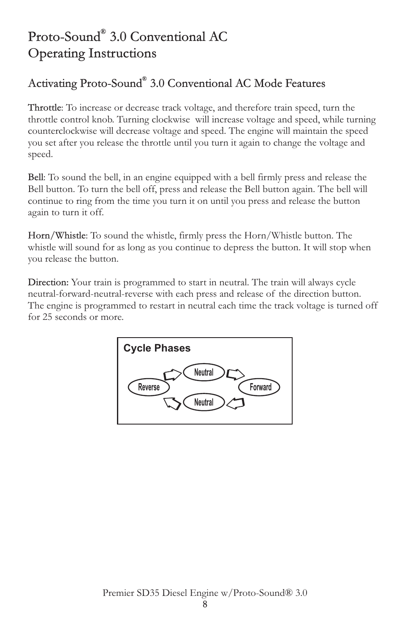# Proto-Sound® 3.0 Conventional AC Operating Instructions

### Activating Proto-Sound® 3.0 Conventional AC Mode Features

Throttle: To increase or decrease track voltage, and therefore train speed, turn the throttle control knob. Turning clockwise will increase voltage and speed, while turning counterclockwise will decrease voltage and speed. The engine will maintain the speed you set after you release the throttle until you turn it again to change the voltage and speed.

Bell: To sound the bell, in an engine equipped with a bell firmly press and release the Bell button. To turn the bell off, press and release the Bell button again. The bell will continue to ring from the time you turn it on until you press and release the button again to turn it off.

Horn/Whistle: To sound the whistle, firmly press the Horn/Whistle button. The whistle will sound for as long as you continue to depress the button. It will stop when you release the button.

Direction: Your train is programmed to start in neutral. The train will always cycle neutral-forward-neutral-reverse with each press and release of the direction button. The engine is programmed to restart in neutral each time the track voltage is turned off for 25 seconds or more.

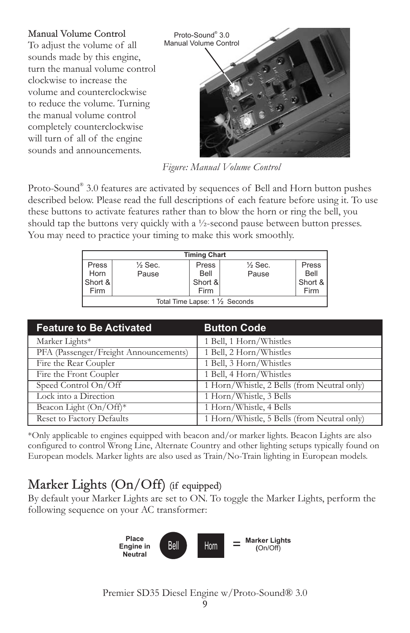

*Figure: Manual Volume Control*

Proto-Sound® 3.0 features are activated by sequences of Bell and Horn button pushes described below. Please read the full descriptions of each feature before using it. To use these buttons to activate features rather than to blow the horn or ring the bell, you should tap the buttons very quickly with a ½-second pause between button presses. You may need to practice your timing to make this work smoothly.

| <b>Timing Chart</b>             |                    |         |                    |         |  |
|---------------------------------|--------------------|---------|--------------------|---------|--|
| Press                           | $\frac{1}{2}$ Sec. | Press   | $\frac{1}{2}$ Sec. | Press   |  |
| Horn                            | Pause              | Bell    | Pause              | Bell    |  |
| Short &                         |                    | Short & |                    | Short & |  |
| Firm                            |                    | Firm    |                    | Firm    |  |
| Total Time Lapse: 1 1/2 Seconds |                    |         |                    |         |  |

| <b>Feature to Be Activated</b>        | <b>Button Code</b>                          |
|---------------------------------------|---------------------------------------------|
| Marker Lights*                        | 1 Bell, 1 Horn/Whistles                     |
| PFA (Passenger/Freight Announcements) | 1 Bell, 2 Horn/Whistles                     |
| Fire the Rear Coupler                 | 1 Bell, 3 Horn/Whistles                     |
| Fire the Front Coupler                | 1 Bell, 4 Horn/Whistles                     |
| Speed Control On/Off                  | 1 Horn/Whistle, 2 Bells (from Neutral only) |
| Lock into a Direction                 | 1 Horn/Whistle, 3 Bells                     |
| Beacon Light (On/Off)*                | 1 Horn/Whistle, 4 Bells                     |
| <b>Reset to Factory Defaults</b>      | 1 Horn/Whistle, 5 Bells (from Neutral only) |

\*Only applicable to engines equipped with beacon and/or marker lights. Beacon Lights are also configured to control Wrong Line, Alternate Country and other lighting setups typically found on European models. Marker lights are also used as Train/No-Train lighting in European models.

# Marker Lights (On/Off) (if equipped)

By default your Marker Lights are set to ON. To toggle the Marker Lights, perform the following sequence on your AC transformer:

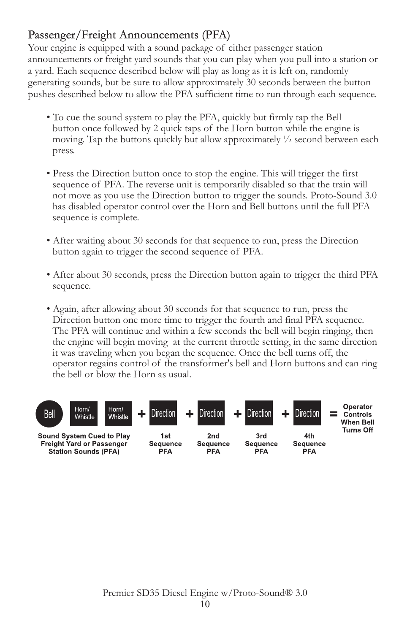### Passenger/Freight Announcements (PFA)

Your engine is equipped with a sound package of either passenger station announcements or freight yard sounds that you can play when you pull into a station or a yard. Each sequence described below will play as long as it is left on, randomly generating sounds, but be sure to allow approximately 30 seconds between the button pushes described below to allow the PFA sufficient time to run through each sequence.

- To cue the sound system to play the PFA, quickly but firmly tap the Bell button once followed by 2 quick taps of the Horn button while the engine is moving. Tap the buttons quickly but allow approximately  $\frac{1}{2}$  second between each press.
- Press the Direction button once to stop the engine. This will trigger the first sequence of PFA. The reverse unit is temporarily disabled so that the train will not move as you use the Direction button to trigger the sounds. Proto-Sound 3.0 has disabled operator control over the Horn and Bell buttons until the full PFA sequence is complete.
- After waiting about 30 seconds for that sequence to run, press the Direction button again to trigger the second sequence of PFA.
- After about 30 seconds, press the Direction button again to trigger the third PFA sequence.
- Again, after allowing about 30 seconds for that sequence to run, press the Direction button one more time to trigger the fourth and final PFA sequence. The PFA will continue and within a few seconds the bell will begin ringing, then the engine will begin moving at the current throttle setting, in the same direction it was traveling when you began the sequence. Once the bell turns off, the operator regains control of the transformer's bell and Horn buttons and can ring the bell or blow the Horn as usual.

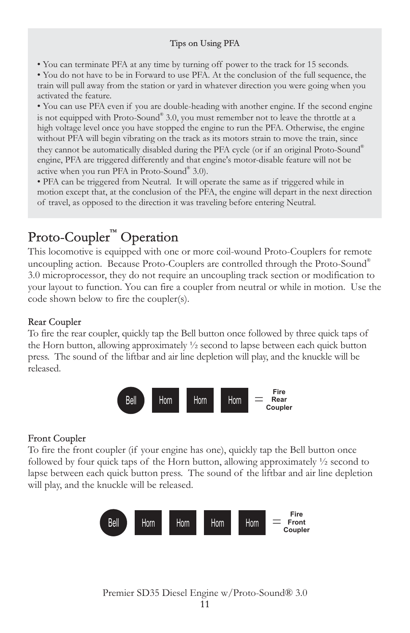#### Tips on Using PFA

• You can terminate PFA at any time by turning off power to the track for 15 seconds.

• You do not have to be in Forward to use PFA. At the conclusion of the full sequence, the train will pull away from the station or yard in whatever direction you were going when you activated the feature.

• You can use PFA even if you are double-heading with another engine. If the second engine is not equipped with Proto-Sound® 3.0, you must remember not to leave the throttle at a high voltage level once you have stopped the engine to run the PFA. Otherwise, the engine without PFA will begin vibrating on the track as its motors strain to move the train, since they cannot be automatically disabled during the PFA cycle (or if an original Proto-Sound® engine, PFA are triggered differently and that engine's motor-disable feature will not be active when you run PFA in Proto-Sound® 3.0).

• PFA can be triggered from Neutral. It will operate the same as if triggered while in motion except that, at the conclusion of the PFA, the engine will depart in the next direction of travel, as opposed to the direction it was traveling before entering Neutral.

# Proto-Coupler<sup>™</sup> Operation

This locomotive is equipped with one or more coil-wound Proto-Couplers for remote uncoupling action. Because Proto-Couplers are controlled through the Proto-Sound® 3.0 microprocessor, they do not require an uncoupling track section or modification to your layout to function. You can fire a coupler from neutral or while in motion. Use the code shown below to fire the coupler(s).

#### Rear Coupler

To fire the rear coupler, quickly tap the Bell button once followed by three quick taps of the Horn button, allowing approximately ½ second to lapse between each quick button press. The sound of the liftbar and air line depletion will play, and the knuckle will be released.



#### Front Coupler

To fire the front coupler (if your engine has one), quickly tap the Bell button once followed by four quick taps of the Horn button, allowing approximately  $\frac{1}{2}$  second to lapse between each quick button press. The sound of the liftbar and air line depletion will play, and the knuckle will be released.

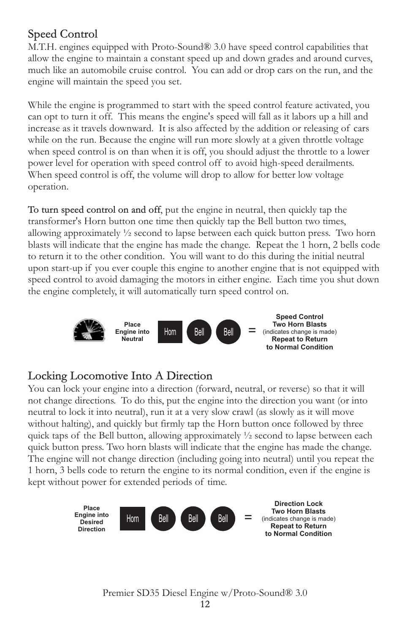### Speed Control

M.T.H. engines equipped with Proto-Sound® 3.0 have speed control capabilities that allow the engine to maintain a constant speed up and down grades and around curves, much like an automobile cruise control. You can add or drop cars on the run, and the engine will maintain the speed you set.

While the engine is programmed to start with the speed control feature activated, you can opt to turn it off. This means the engine's speed will fall as it labors up a hill and increase as it travels downward. It is also affected by the addition or releasing of cars while on the run. Because the engine will run more slowly at a given throttle voltage when speed control is on than when it is off, you should adjust the throttle to a lower power level for operation with speed control off to avoid high-speed derailments. When speed control is off, the volume will drop to allow for better low voltage operation.

To turn speed control on and off, put the engine in neutral, then quickly tap the transformer's Horn button one time then quickly tap the Bell button two times, allowing approximately ½ second to lapse between each quick button press. Two horn blasts will indicate that the engine has made the change. Repeat the 1 horn, 2 bells code to return it to the other condition. You will want to do this during the initial neutral upon start-up if you ever couple this engine to another engine that is not equipped with speed control to avoid damaging the motors in either engine. Each time you shut down the engine completely, it will automatically turn speed control on.



### Locking Locomotive Into A Direction

You can lock your engine into a direction (forward, neutral, or reverse) so that it will not change directions. To do this, put the engine into the direction you want (or into neutral to lock it into neutral), run it at a very slow crawl (as slowly as it will move without halting), and quickly but firmly tap the Horn button once followed by three quick taps of the Bell button, allowing approximately  $\frac{1}{2}$  second to lapse between each quick button press. Two horn blasts will indicate that the engine has made the change. The engine will not change direction (including going into neutral) until you repeat the 1 horn, 3 bells code to return the engine to its normal condition, even if the engine is kept without power for extended periods of time.

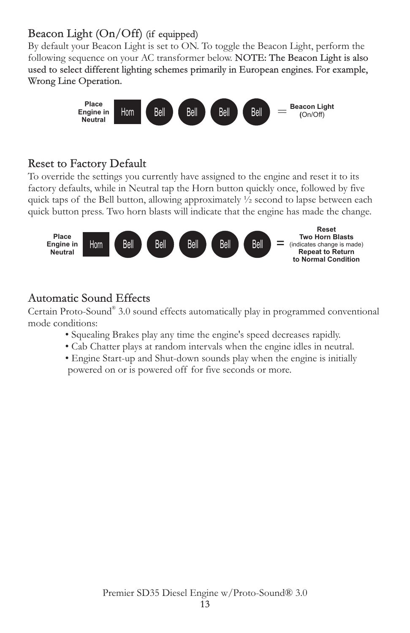### Beacon Light (On/Off) (if equipped)

By default your Beacon Light is set to ON. To toggle the Beacon Light, perform the following sequence on your AC transformer below. NOTE: The Beacon Light is also used to select different lighting schemes primarily in European engines. For example, Wrong Line Operation.



### Reset to Factory Default

To override the settings you currently have assigned to the engine and reset it to its factory defaults, while in Neutral tap the Horn button quickly once, followed by five quick taps of the Bell button, allowing approximately  $\frac{1}{2}$  second to lapse between each quick button press. Two horn blasts will indicate that the engine has made the change.



### Automatic Sound Effects

Certain Proto-Sound® 3.0 sound effects automatically play in programmed conventional mode conditions:

- Squealing Brakes play any time the engine's speed decreases rapidly.
- Cab Chatter plays at random intervals when the engine idles in neutral.
- Engine Start-up and Shut-down sounds play when the engine is initially powered on or is powered off for five seconds or more.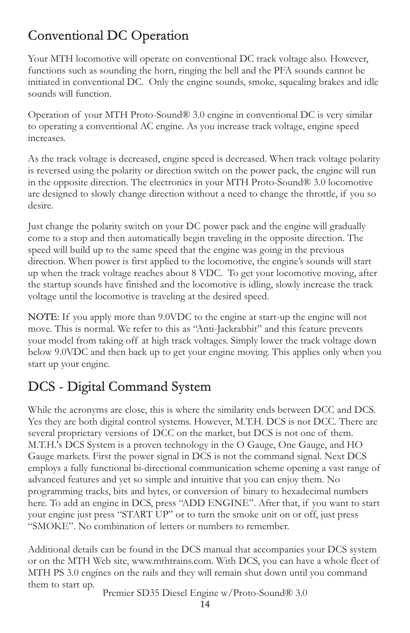# Conventional DC Operation

Your MTH locomotive will operate on conventional DC track voltage also. However, functions such as sounding the horn, ringing the bell and the PFA sounds cannot be initiated in conventional DC. Only the engine sounds, smoke, squealing brakes and idle sounds will function.

Operation of your MTH Proto-Sound® 3.0 engine in conventional DC is very similar to operating a conventional AC engine. As you increase track voltage, engine speed increases.

As the track voltage is decreased, engine speed is decreased. When track voltage polarity is reversed using the polarity or direction switch on the power pack, the engine will run in the opposite direction. The electronics in your MTH Proto-Sound® 3.0 locomotive are designed to slowly change direction without a need to change the throttle, if you so desire.

Just change the polarity switch on your DC power pack and the engine will gradually come to a stop and then automatically begin traveling in the opposite direction. The speed will build up to the same speed that the engine was going in the previous direction. When power is first applied to the locomotive, the engine's sounds will start up when the track voltage reaches about 8 VDC. To get your locomotive moving, after the startup sounds have finished and the locomotive is idling, slowly increase the track voltage until the locomotive is traveling at the desired speed.

NOTE: If you apply more than 9.0VDC to the engine at start-up the engine will not move. This is normal. We refer to this as "Anti-Jackrabbit" and this feature prevents your model from taking off at high track voltages. Simply lower the track voltage down below 9.0VDC and then back up to get your engine moving. This applies only when you start up your engine.

# DCS - Digital Command System

While the acronyms are close, this is where the similarity ends between DCC and DCS. Yes they are both digital control systems. However, M.T.H. DCS is not DCC. There are several proprietary versions of DCC on the market, but DCS is not one of them. M.T.H.'s DCS System is a proven technology in the O Gauge, One Gauge, and HO Gauge markets. First the power signal in DCS is not the command signal. Next DCS employs a fully functional bi-directional communication scheme opening a vast range of advanced features and yet so simple and intuitive that you can enjoy them. No programming tracks, bits and bytes, or conversion of binary to hexadecimal numbers here. To add an engine in DCS, press "ADD ENGINE". After that, if you want to start your engine just press "START UP" or to turn the smoke unit on or off, just press "SMOKE". No combination of letters or numbers to remember.

Additional details can be found in the DCS manual that accompanies your DCS system or on the MTH Web site, www.mthtrains.com. With DCS, you can have a whole fleet of MTH PS 3.0 engines on the rails and they will remain shut down until you command them to start up.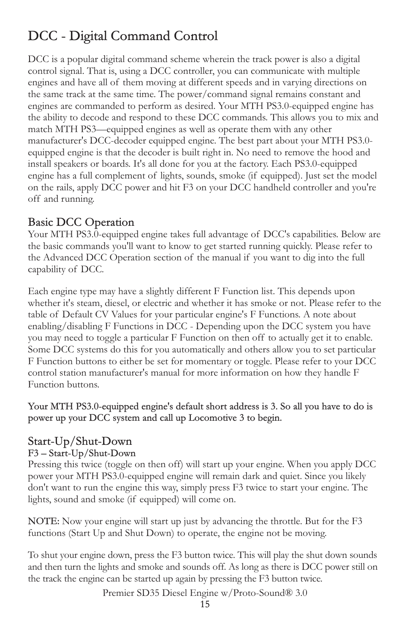# DCC - Digital Command Control

DCC is a popular digital command scheme wherein the track power is also a digital control signal. That is, using a DCC controller, you can communicate with multiple engines and have all of them moving at different speeds and in varying directions on the same track at the same time. The power/command signal remains constant and engines are commanded to perform as desired. Your MTH PS3.0-equipped engine has the ability to decode and respond to these DCC commands. This allows you to mix and match MTH PS3—equipped engines as well as operate them with any other manufacturer's DCC-decoder equipped engine. The best part about your MTH PS3.0 equipped engine is that the decoder is built right in. No need to remove the hood and install speakers or boards. It's all done for you at the factory. Each PS3.0-equipped engine has a full complement of lights, sounds, smoke (if equipped). Just set the model on the rails, apply DCC power and hit F3 on your DCC handheld controller and you're off and running.

### Basic DCC Operation

Your MTH PS3.0-equipped engine takes full advantage of DCC's capabilities. Below are the basic commands you'll want to know to get started running quickly. Please refer to the Advanced DCC Operation section of the manual if you want to dig into the full capability of DCC.

Each engine type may have a slightly different F Function list. This depends upon whether it's steam, diesel, or electric and whether it has smoke or not. Please refer to the table of Default CV Values for your particular engine's F Functions. A note about enabling/disabling F Functions in DCC - Depending upon the DCC system you have you may need to toggle a particular F Function on then off to actually get it to enable. Some DCC systems do this for you automatically and others allow you to set particular F Function buttons to either be set for momentary or toggle. Please refer to your DCC control station manufacturer's manual for more information on how they handle F Function buttons.

Your MTH PS3.0-equipped engine's default short address is 3. So all you have to do is power up your DCC system and call up Locomotive 3 to begin.

### Start-Up/Shut-Down

#### F3 – Start-Up/Shut-Down

Pressing this twice (toggle on then off) will start up your engine. When you apply DCC power your MTH PS3.0-equipped engine will remain dark and quiet. Since you likely don't want to run the engine this way, simply press F3 twice to start your engine. The lights, sound and smoke (if equipped) will come on.

NOTE: Now your engine will start up just by advancing the throttle. But for the F3 functions (Start Up and Shut Down) to operate, the engine not be moving.

To shut your engine down, press the F3 button twice. This will play the shut down sounds and then turn the lights and smoke and sounds off. As long as there is DCC power still on the track the engine can be started up again by pressing the F3 button twice.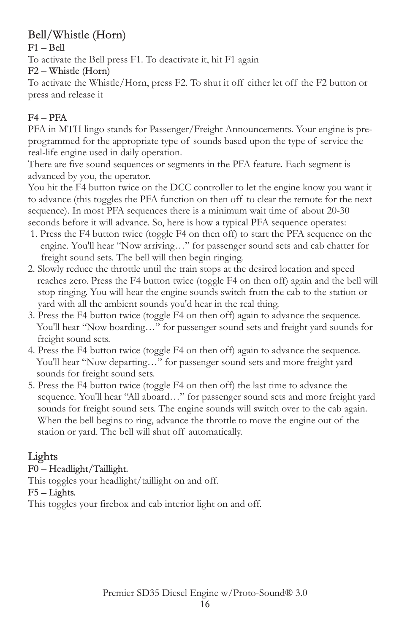### Bell/Whistle (Horn)

F1 – Bell

To activate the Bell press F1. To deactivate it, hit F1 again

F2 – Whistle (Horn)

To activate the Whistle/Horn, press F2. To shut it off either let off the F2 button or press and release it

### F4 – PFA

PFA in MTH lingo stands for Passenger/Freight Announcements. Your engine is preprogrammed for the appropriate type of sounds based upon the type of service the real-life engine used in daily operation.

There are five sound sequences or segments in the PFA feature. Each segment is advanced by you, the operator.

You hit the F4 button twice on the DCC controller to let the engine know you want it to advance (this toggles the PFA function on then off to clear the remote for the next sequence). In most PFA sequences there is a minimum wait time of about 20-30 seconds before it will advance. So, here is how a typical PFA sequence operates:

- 1. Press the F4 button twice (toggle F4 on then off) to start the PFA sequence on the engine. You'll hear "Now arriving…" for passenger sound sets and cab chatter for freight sound sets. The bell will then begin ringing.
- 2. Slowly reduce the throttle until the train stops at the desired location and speed reaches zero. Press the F4 button twice (toggle F4 on then off) again and the bell will stop ringing. You will hear the engine sounds switch from the cab to the station or yard with all the ambient sounds you'd hear in the real thing.
- 3. Press the F4 button twice (toggle F4 on then off) again to advance the sequence. You'll hear "Now boarding…" for passenger sound sets and freight yard sounds for freight sound sets.
- 4. Press the F4 button twice (toggle F4 on then off) again to advance the sequence. You'll hear "Now departing…" for passenger sound sets and more freight yard sounds for freight sound sets.
- 5. Press the F4 button twice (toggle F4 on then off) the last time to advance the sequence. You'll hear "All aboard…" for passenger sound sets and more freight yard sounds for freight sound sets. The engine sounds will switch over to the cab again. When the bell begins to ring, advance the throttle to move the engine out of the station or yard. The bell will shut off automatically.

## Lights

F0 – Headlight/Taillight.

This toggles your headlight/taillight on and off.

F5 – Lights.

This toggles your firebox and cab interior light on and off.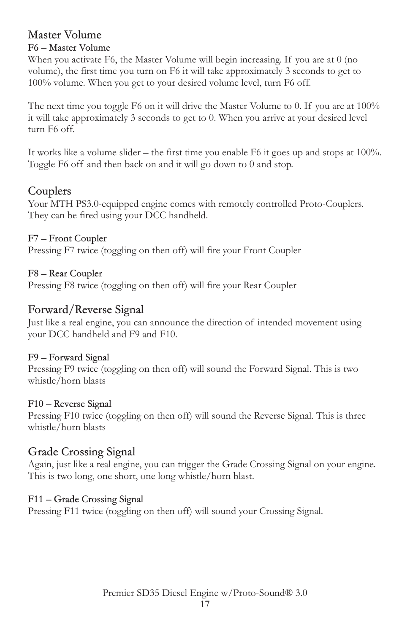### Master Volume

#### F6 – Master Volume

When you activate F6, the Master Volume will begin increasing. If you are at 0 (no volume), the first time you turn on F6 it will take approximately 3 seconds to get to 100% volume. When you get to your desired volume level, turn F6 off.

The next time you toggle F6 on it will drive the Master Volume to 0. If you are at 100% it will take approximately 3 seconds to get to 0. When you arrive at your desired level turn F6 off.

It works like a volume slider – the first time you enable F6 it goes up and stops at 100%. Toggle F6 off and then back on and it will go down to 0 and stop.

### Couplers

Your MTH PS3.0-equipped engine comes with remotely controlled Proto-Couplers. They can be fired using your DCC handheld.

#### F7 – Front Coupler

Pressing F7 twice (toggling on then off) will fire your Front Coupler

#### F8 – Rear Coupler

Pressing F8 twice (toggling on then off) will fire your Rear Coupler

#### Forward/Reverse Signal

Just like a real engine, you can announce the direction of intended movement using your DCC handheld and F9 and F10.

#### F9 – Forward Signal

Pressing F9 twice (toggling on then off) will sound the Forward Signal. This is two whistle/horn blasts

#### F10 – Reverse Signal

Pressing F10 twice (toggling on then off) will sound the Reverse Signal. This is three whistle/horn blasts

### Grade Crossing Signal

Again, just like a real engine, you can trigger the Grade Crossing Signal on your engine. This is two long, one short, one long whistle/horn blast.

#### F11 – Grade Crossing Signal

Pressing F11 twice (toggling on then off) will sound your Crossing Signal.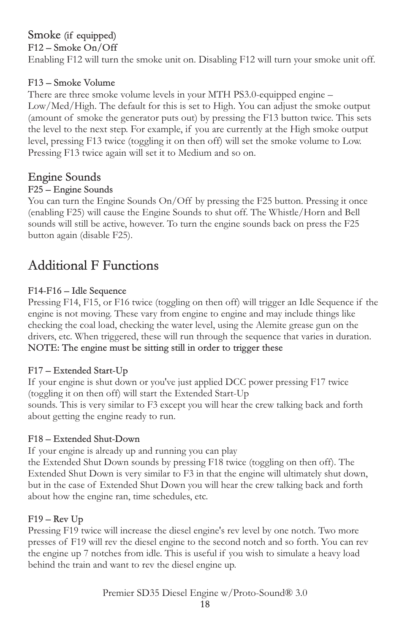# Smoke (if equipped)

F12 – Smoke On/Off Enabling F12 will turn the smoke unit on. Disabling F12 will turn your smoke unit off.

#### F13 – Smoke Volume

There are three smoke volume levels in your MTH PS3.0-equipped engine – Low/Med/High. The default for this is set to High. You can adjust the smoke output (amount of smoke the generator puts out) by pressing the F13 button twice. This sets the level to the next step. For example, if you are currently at the High smoke output level, pressing F13 twice (toggling it on then off) will set the smoke volume to Low. Pressing F13 twice again will set it to Medium and so on.

### Engine Sounds

#### F25 – Engine Sounds

You can turn the Engine Sounds On/Off by pressing the F25 button. Pressing it once (enabling F25) will cause the Engine Sounds to shut off. The Whistle/Horn and Bell sounds will still be active, however. To turn the engine sounds back on press the F25 button again (disable F25).

## Additional F Functions

#### F14-F16 – Idle Sequence

Pressing F14, F15, or F16 twice (toggling on then off) will trigger an Idle Sequence if the engine is not moving. These vary from engine to engine and may include things like checking the coal load, checking the water level, using the Alemite grease gun on the drivers, etc. When triggered, these will run through the sequence that varies in duration. NOTE: The engine must be sitting still in order to trigger these

#### F17 – Extended Start-Up

If your engine is shut down or you've just applied DCC power pressing F17 twice (toggling it on then off) will start the Extended Start-Up sounds. This is very similar to F3 except you will hear the crew talking back and forth about getting the engine ready to run.

#### F18 – Extended Shut-Down

If your engine is already up and running you can play

the Extended Shut Down sounds by pressing F18 twice (toggling on then off). The Extended Shut Down is very similar to F3 in that the engine will ultimately shut down, but in the case of Extended Shut Down you will hear the crew talking back and forth about how the engine ran, time schedules, etc.

#### $F19 - Rev Up$

Pressing F19 twice will increase the diesel engine's rev level by one notch. Two more presses of F19 will rev the diesel engine to the second notch and so forth. You can rev the engine up 7 notches from idle. This is useful if you wish to simulate a heavy load behind the train and want to rev the diesel engine up.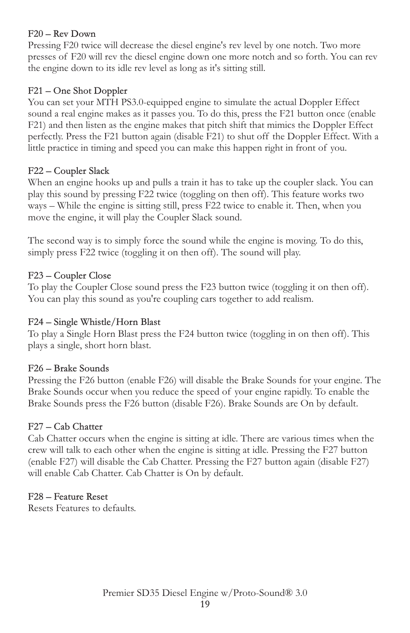#### F20 – Rev Down

Pressing F20 twice will decrease the diesel engine's rev level by one notch. Two more presses of F20 will rev the diesel engine down one more notch and so forth. You can rev the engine down to its idle rev level as long as it's sitting still.

#### F21 – One Shot Doppler

You can set your MTH PS3.0-equipped engine to simulate the actual Doppler Effect sound a real engine makes as it passes you. To do this, press the F21 button once (enable F21) and then listen as the engine makes that pitch shift that mimics the Doppler Effect perfectly. Press the F21 button again (disable F21) to shut off the Doppler Effect. With a little practice in timing and speed you can make this happen right in front of you.

#### F22 – Coupler Slack

When an engine hooks up and pulls a train it has to take up the coupler slack. You can play this sound by pressing F22 twice (toggling on then off). This feature works two ways – While the engine is sitting still, press F22 twice to enable it. Then, when you move the engine, it will play the Coupler Slack sound.

The second way is to simply force the sound while the engine is moving. To do this, simply press F22 twice (toggling it on then off). The sound will play.

#### F23 – Coupler Close

To play the Coupler Close sound press the F23 button twice (toggling it on then off). You can play this sound as you're coupling cars together to add realism.

#### F24 – Single Whistle/Horn Blast

To play a Single Horn Blast press the F24 button twice (toggling in on then off). This plays a single, short horn blast.

#### F26 – Brake Sounds

Pressing the F26 button (enable F26) will disable the Brake Sounds for your engine. The Brake Sounds occur when you reduce the speed of your engine rapidly. To enable the Brake Sounds press the F26 button (disable F26). Brake Sounds are On by default.

#### F27 – Cab Chatter

Cab Chatter occurs when the engine is sitting at idle. There are various times when the crew will talk to each other when the engine is sitting at idle. Pressing the F27 button (enable F27) will disable the Cab Chatter. Pressing the F27 button again (disable F27) will enable Cab Chatter. Cab Chatter is On by default.

#### F28 – Feature Reset

Resets Features to defaults.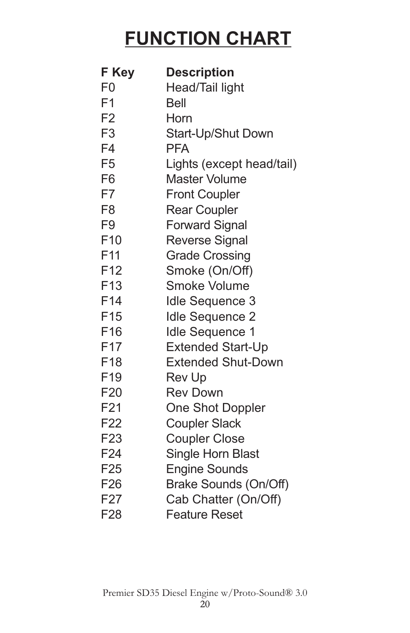# **FUNCTION CHART**

| F Key           | <b>Description</b>        |
|-----------------|---------------------------|
| F0              | Head/Tail light           |
| F <sub>1</sub>  | <b>Bell</b>               |
| F <sub>2</sub>  | Horn                      |
| F <sub>3</sub>  | Start-Up/Shut Down        |
| F4              | <b>PFA</b>                |
| F <sub>5</sub>  | Lights (except head/tail) |
| F <sub>6</sub>  | <b>Master Volume</b>      |
| F7              | <b>Front Coupler</b>      |
| F <sub>8</sub>  | <b>Rear Coupler</b>       |
| F9              | <b>Forward Signal</b>     |
| F <sub>10</sub> | <b>Reverse Signal</b>     |
| F <sub>11</sub> | <b>Grade Crossing</b>     |
| F <sub>12</sub> | Smoke (On/Off)            |
| F <sub>13</sub> | <b>Smoke Volume</b>       |
| F <sub>14</sub> | <b>Idle Sequence 3</b>    |
| F <sub>15</sub> | <b>Idle Sequence 2</b>    |
| F <sub>16</sub> | <b>Idle Sequence 1</b>    |
| F <sub>17</sub> | <b>Extended Start-Up</b>  |
| F <sub>18</sub> | <b>Extended Shut-Down</b> |
| F19             | <b>Rev Up</b>             |
| F <sub>20</sub> | <b>Rev Down</b>           |
| F21             | <b>One Shot Doppler</b>   |
| F22             | <b>Coupler Slack</b>      |
| F <sub>23</sub> | <b>Coupler Close</b>      |
| F <sub>24</sub> | <b>Single Horn Blast</b>  |
| F <sub>25</sub> | <b>Engine Sounds</b>      |
| F <sub>26</sub> | Brake Sounds (On/Off)     |
| F <sub>27</sub> | Cab Chatter (On/Off)      |
| F <sub>28</sub> | <b>Feature Reset</b>      |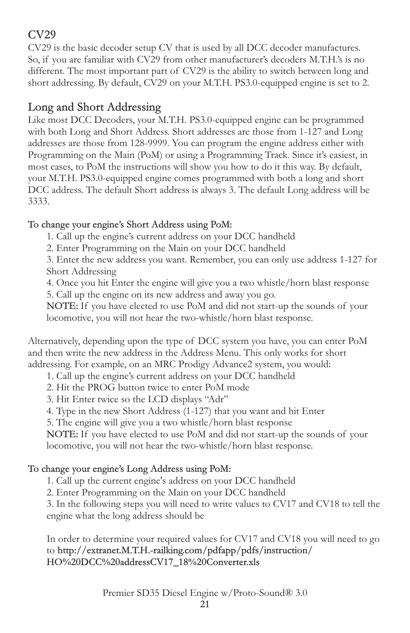### CV29

CV29 is the basic decoder setup CV that is used by all DCC decoder manufactures. So, if you are familiar with CV29 from other manufacturer's decoders M.T.H.'s is no different. The most important part of CV29 is the ability to switch between long and short addressing. By default, CV29 on your M.T.H. PS3.0-equipped engine is set to 2.

### Long and Short Addressing

Like most DCC Decoders, your M.T.H. PS3.0-equipped engine can be programmed with both Long and Short Address. Short addresses are those from 1-127 and Long addresses are those from 128-9999. You can program the engine address either with Programming on the Main (PoM) or using a Programming Track. Since it's easiest, in most cases, to PoM the instructions will show you how to do it this way. By default, your M.T.H. PS3.0-equipped engine comes programmed with both a long and short DCC address. The default Short address is always 3. The default Long address will be 3333.

To change your engine's Short Address using PoM:

1. Call up the engine's current address on your DCC handheld

2. Enter Programming on the Main on your DCC handheld

3. Enter the new address you want. Remember, you can only use address 1-127 for Short Addressing

4. Once you hit Enter the engine will give you a two whistle/horn blast response

5. Call up the engine on its new address and away you go.

NOTE: If you have elected to use PoM and did not start-up the sounds of your locomotive, you will not hear the two-whistle/horn blast response.

Alternatively, depending upon the type of DCC system you have, you can enter PoM and then write the new address in the Address Menu. This only works for short addressing. For example, on an MRC Prodigy Advance2 system, you would:

1. Call up the engine's current address on your DCC handheld

2. Hit the PROG button twice to enter PoM mode

3. Hit Enter twice so the LCD displays "Adr"

4. Type in the new Short Address (1-127) that you want and hit Enter

5. The engine will give you a two whistle/horn blast response

NOTE: If you have elected to use PoM and did not start-up the sounds of your locomotive, you will not hear the two-whistle/horn blast response.

#### To change your engine's Long Address using PoM:

1. Call up the current engine's address on your DCC handheld

2. Enter Programming on the Main on your DCC handheld

3. In the following steps you will need to write values to CV17 and CV18 to tell the engine what the long address should be

In order to determine your required values for CV17 and CV18 you will need to go to http://extranet.M.T.H.-railking.com/pdfapp/pdfs/instruction/ HO%20DCC%20addressCV17\_18%20Converter.xls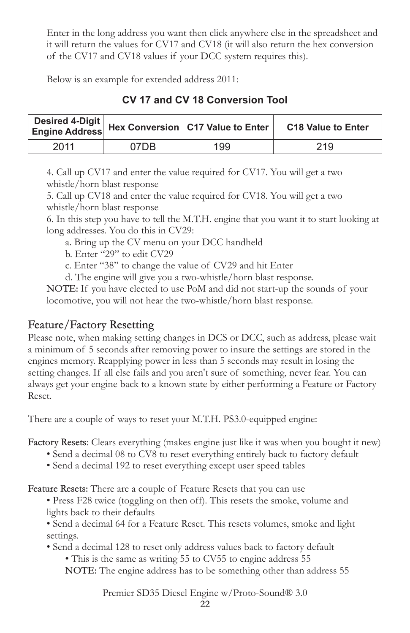Enter in the long address you want then click anywhere else in the spreadsheet and it will return the values for CV17 and CV18 (it will also return the hex conversion of the CV17 and CV18 values if your DCC system requires this).

Below is an example for extended address 2011:

**CV 17 and CV 18 Conversion Tool**

|      |      | │ Desired 4-Digit │<br>│ Engine Address │ Hex Conversion │ C17 Value to Enter │ | <b>C18 Value to Enter</b> |
|------|------|---------------------------------------------------------------------------------|---------------------------|
| 2011 | 07DB | 199                                                                             | 219                       |

4. Call up CV17 and enter the value required for CV17. You will get a two whistle/horn blast response

5. Call up CV18 and enter the value required for CV18. You will get a two whistle/horn blast response

6. In this step you have to tell the M.T.H. engine that you want it to start looking at long addresses. You do this in CV29:

- a. Bring up the CV menu on your DCC handheld
- b. Enter "29" to edit CV29
- c. Enter "38" to change the value of CV29 and hit Enter

d. The engine will give you a two-whistle/horn blast response.

NOTE: If you have elected to use PoM and did not start-up the sounds of your locomotive, you will not hear the two-whistle/horn blast response.

### Feature/Factory Resetting

Please note, when making setting changes in DCS or DCC, such as address, please wait a minimum of 5 seconds after removing power to insure the settings are stored in the engines memory. Reapplying power in less than 5 seconds may result in losing the setting changes. If all else fails and you aren't sure of something, never fear. You can always get your engine back to a known state by either performing a Feature or Factory Reset.

There are a couple of ways to reset your M.T.H. PS3.0-equipped engine:

Factory Resets: Clears everything (makes engine just like it was when you bought it new)

- Send a decimal 08 to CV8 to reset everything entirely back to factory default
- Send a decimal 192 to reset everything except user speed tables

Feature Resets: There are a couple of Feature Resets that you can use

• Press F28 twice (toggling on then off). This resets the smoke, volume and lights back to their defaults

• Send a decimal 64 for a Feature Reset. This resets volumes, smoke and light settings.

- Send a decimal 128 to reset only address values back to factory default
	- This is the same as writing 55 to CV55 to engine address 55 NOTE: The engine address has to be something other than address 55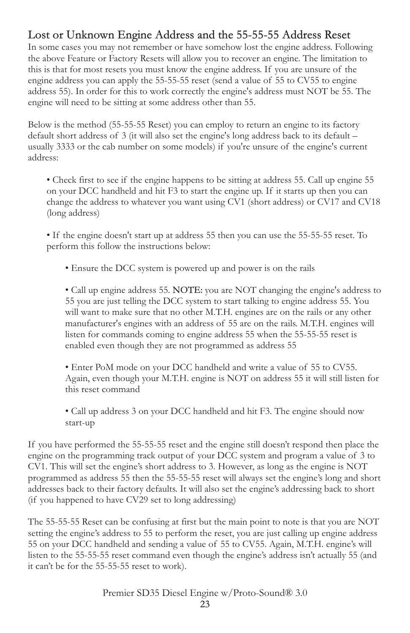### Lost or Unknown Engine Address and the 55-55-55 Address Reset

In some cases you may not remember or have somehow lost the engine address. Following the above Feature or Factory Resets will allow you to recover an engine. The limitation to this is that for most resets you must know the engine address. If you are unsure of the engine address you can apply the 55-55-55 reset (send a value of 55 to CV55 to engine address 55). In order for this to work correctly the engine's address must NOT be 55. The engine will need to be sitting at some address other than 55.

Below is the method (55-55-55 Reset) you can employ to return an engine to its factory default short address of 3 (it will also set the engine's long address back to its default – usually 3333 or the cab number on some models) if you're unsure of the engine's current address:

• Check first to see if the engine happens to be sitting at address 55. Call up engine 55 on your DCC handheld and hit F3 to start the engine up. If it starts up then you can change the address to whatever you want using CV1 (short address) or CV17 and CV18 (long address)

• If the engine doesn't start up at address 55 then you can use the 55-55-55 reset. To perform this follow the instructions below:

• Ensure the DCC system is powered up and power is on the rails

• Call up engine address 55. NOTE: you are NOT changing the engine's address to 55 you are just telling the DCC system to start talking to engine address 55. You will want to make sure that no other M.T.H. engines are on the rails or any other manufacturer's engines with an address of 55 are on the rails. M.T.H. engines will listen for commands coming to engine address 55 when the 55-55-55 reset is enabled even though they are not programmed as address 55

• Enter PoM mode on your DCC handheld and write a value of 55 to CV55. Again, even though your M.T.H. engine is NOT on address 55 it will still listen for this reset command

• Call up address 3 on your DCC handheld and hit F3. The engine should now start-up

If you have performed the 55-55-55 reset and the engine still doesn't respond then place the engine on the programming track output of your DCC system and program a value of 3 to CV1. This will set the engine's short address to 3. However, as long as the engine is NOT programmed as address 55 then the 55-55-55 reset will always set the engine's long and short addresses back to their factory defaults. It will also set the engine's addressing back to short (if you happened to have CV29 set to long addressing)

The 55-55-55 Reset can be confusing at first but the main point to note is that you are NOT setting the engine's address to 55 to perform the reset, you are just calling up engine address 55 on your DCC handheld and sending a value of 55 to CV55. Again, M.T.H. engine's will listen to the 55-55-55 reset command even though the engine's address isn't actually 55 (and it can't be for the 55-55-55 reset to work).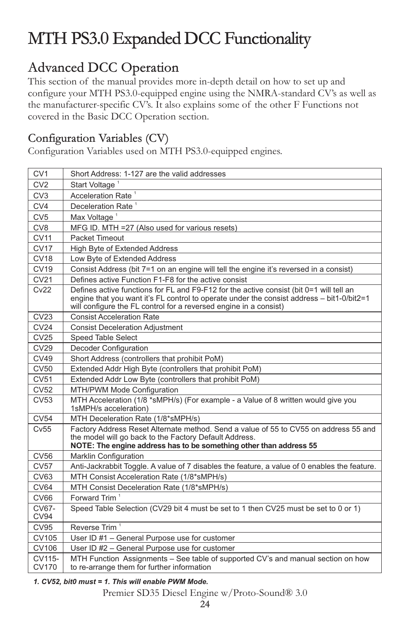# MTH PS3.0 Expanded DCC Functionality

# Advanced DCC Operation

This section of the manual provides more in-depth detail on how to set up and configure your MTH PS3.0-equipped engine using the NMRA-standard CV's as well as the manufacturer-specific CV's. It also explains some of the other F Functions not covered in the Basic DCC Operation section.

### Configuration Variables (CV)

Configuration Variables used on MTH PS3.0-equipped engines.

| CV <sub>1</sub>        | Short Address: 1-127 are the valid addresses                                                                                                                                                                                                              |
|------------------------|-----------------------------------------------------------------------------------------------------------------------------------------------------------------------------------------------------------------------------------------------------------|
| CV2                    | Start Voltage <sup>1</sup>                                                                                                                                                                                                                                |
| CV <sub>3</sub>        | Acceleration Rate <sup>1</sup>                                                                                                                                                                                                                            |
| CV4                    | Deceleration Rate <sup>1</sup>                                                                                                                                                                                                                            |
| CV <sub>5</sub>        | Max Voltage <sup>1</sup>                                                                                                                                                                                                                                  |
| CV <sub>8</sub>        | MFG ID. MTH = 27 (Also used for various resets)                                                                                                                                                                                                           |
| CV11                   | Packet Timeout                                                                                                                                                                                                                                            |
| <b>CV17</b>            | <b>High Byte of Extended Address</b>                                                                                                                                                                                                                      |
| <b>CV18</b>            | Low Byte of Extended Address                                                                                                                                                                                                                              |
| CV19                   | Consist Address (bit 7=1 on an engine will tell the engine it's reversed in a consist)                                                                                                                                                                    |
| CV21                   | Defines active Function F1-F8 for the active consist                                                                                                                                                                                                      |
| Cv22                   | Defines active functions for FL and F9-F12 for the active consist (bit 0=1 will tell an<br>engine that you want it's FL control to operate under the consist address - bit1-0/bit2=1<br>will configure the FL control for a reversed engine in a consist) |
| CV23                   | <b>Consist Acceleration Rate</b>                                                                                                                                                                                                                          |
| CV24                   | <b>Consist Deceleration Adjustment</b>                                                                                                                                                                                                                    |
| CV25                   | <b>Speed Table Select</b>                                                                                                                                                                                                                                 |
| CV29                   | Decoder Configuration                                                                                                                                                                                                                                     |
| CV49                   | Short Address (controllers that prohibit PoM)                                                                                                                                                                                                             |
| CV50                   | Extended Addr High Byte (controllers that prohibit PoM)                                                                                                                                                                                                   |
| CV51                   | Extended Addr Low Byte (controllers that prohibit PoM)                                                                                                                                                                                                    |
| CV52                   | MTH/PWM Mode Configuration                                                                                                                                                                                                                                |
| CV53                   | MTH Acceleration (1/8 *sMPH/s) (For example - a Value of 8 written would give you<br>1sMPH/s acceleration)                                                                                                                                                |
| CV54                   | MTH Deceleration Rate (1/8*sMPH/s)                                                                                                                                                                                                                        |
| Cv55                   | Factory Address Reset Alternate method. Send a value of 55 to CV55 on address 55 and<br>the model will go back to the Factory Default Address.<br>NOTE: The engine address has to be something other than address 55                                      |
| CV56                   | Marklin Configuration                                                                                                                                                                                                                                     |
| CV57                   | Anti-Jackrabbit Toggle. A value of 7 disables the feature, a value of 0 enables the feature.                                                                                                                                                              |
| CV63                   | MTH Consist Acceleration Rate (1/8*sMPH/s)                                                                                                                                                                                                                |
| <b>CV64</b>            | MTH Consist Deceleration Rate (1/8*sMPH/s)                                                                                                                                                                                                                |
| <b>CV66</b>            | Forward Trim <sup>1</sup>                                                                                                                                                                                                                                 |
| CV67-<br><b>CV94</b>   | Speed Table Selection (CV29 bit 4 must be set to 1 then CV25 must be set to 0 or 1)                                                                                                                                                                       |
| CV95                   | Reverse Trim <sup>1</sup>                                                                                                                                                                                                                                 |
| <b>CV105</b>           | User ID #1 - General Purpose use for customer                                                                                                                                                                                                             |
| <b>CV106</b>           | User ID #2 - General Purpose use for customer                                                                                                                                                                                                             |
| CV115-<br><b>CV170</b> | MTH Function Assignments - See table of supported CV's and manual section on how<br>to re-arrange them for further information                                                                                                                            |

*1. CV52, bit0 must = 1. This will enable PWM Mode.*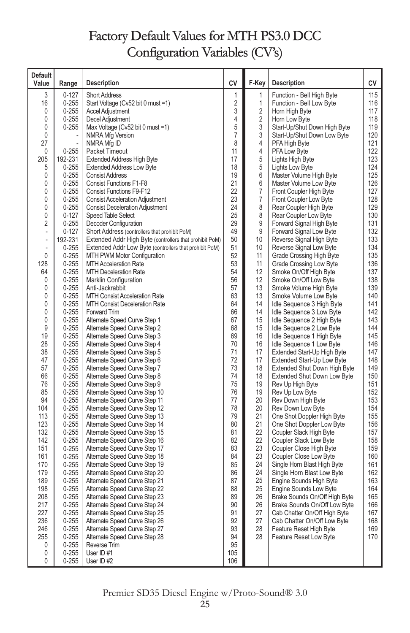# Factory Default Values for MTH PS3.0 DCC Configuration Variables (CV's)

| <b>Default</b><br>Value | Range                  | <b>Description</b>                                             | СV             | F-Key                   | <b>Description</b>                                      | СV         |
|-------------------------|------------------------|----------------------------------------------------------------|----------------|-------------------------|---------------------------------------------------------|------------|
| 3                       | $0 - 127$              | <b>Short Address</b>                                           | 1              | 1                       | Function - Bell High Byte                               | 115        |
| 16                      | $0 - 255$              | Start Voltage (Cv52 bit 0 must =1)                             | $\overline{c}$ | 1                       | Function - Bell Low Byte                                | 116        |
| 0                       | $0 - 255$              | <b>Accel Adjustment</b>                                        | 3              | $\overline{\mathbf{c}}$ | Horn High Byte                                          | 117        |
| 0                       | $0 - 255$              | Decel Adjustment                                               | 4              | $\overline{c}$          | Horn Low Byte                                           | 118        |
| 0                       | $0 - 255$              | Max Voltage (Cv52 bit 0 must =1)                               | 5              | 3                       | Start-Up/Shut Down High Byte                            | 119        |
| 0                       |                        | NMRA Mfg Version                                               | $\overline{7}$ | 3                       | Start-Up/Shut Down Low Byte                             | 120        |
| 27                      |                        | NMRA Mfg ID                                                    | 8              | 4                       | PFA High Byte                                           | 121        |
| 0<br>205                | $0 - 255$<br>192-231   | Packet Timeout<br><b>Extended Address High Byte</b>            | 11<br>17       | 4<br>5                  | PFA Low Byte                                            | 122<br>123 |
| 5                       | $0 - 255$              | <b>Extended Address Low Byte</b>                               | 18             | 5                       | Lights High Byte<br>Lights Low Byte                     | 124        |
| 0                       | $0 - 255$              | <b>Consist Address</b>                                         | 19             | 6                       | Master Volume High Byte                                 | 125        |
| 0                       | $0 - 255$              | Consist Functions F1-F8                                        | 21             | 6                       | Master Volume Low Byte                                  | 126        |
| 0                       | $0 - 255$              | <b>Consist Functions F9-F12</b>                                | 22             | $\boldsymbol{7}$        | Front Coupler High Byte                                 | 127        |
| 0                       | $0 - 255$              | <b>Consist Acceleration Adjustment</b>                         | 23             | 7                       | Front Coupler Low Byte                                  | 128        |
| 0                       | $0 - 255$              | <b>Consist Deceleration Adjustment</b>                         | 24             | 8                       | Rear Coupler High Byte                                  | 129        |
| 0                       | $0 - 127$              | Speed Table Select                                             | 25             | 8                       | Rear Coupler Low Byte                                   | 130        |
| $\overline{2}$          | $0 - 255$              | Decoder Configuration                                          | 29             | 9                       | Forward Signal High Byte                                | 131        |
| ÷                       | $0 - 127$              | Short Address (controllers that prohibit PoM)                  | 49             | 9                       | Forward Signal Low Byte                                 | 132        |
| i,                      | 192-231                | Extended Addr High Byte (controllers that prohibit PoM)        | 50             | 10                      | Reverse Signal High Byte                                | 133        |
| $\frac{1}{2}$           | $0 - 255$              | Extended Addr Low Byte (controllers that prohibit PoM)         | 51             | 10                      | Reverse Signal Low Byte                                 | 134        |
| $\mathbf 0$             | $0 - 255$              | MTH PWM Motor Configuration                                    | 52             | 11                      | Grade Crossing High Byte                                | 135        |
| 128                     | $0 - 255$              | <b>MTH Acceleration Rate</b>                                   | 53             | 11                      | Grade Crossing Low Byte                                 | 136        |
| 64                      | $0 - 255$              | <b>MTH Deceleration Rate</b>                                   | 54<br>56       | 12                      | Smoke On/Off High Byte                                  | 137        |
| 0<br>0                  | $0 - 255$<br>$0 - 255$ | Marklin Configuration<br>Anti-Jackrabbit                       | 57             | 12<br>13                | Smoke On/Off Low Byte<br>Smoke Volume High Byte         | 138<br>139 |
| 0                       | $0 - 255$              | MTH Consist Acceleration Rate                                  | 63             | 13                      | Smoke Volume Low Byte                                   | 140        |
| $\mathbf{0}$            | $0 - 255$              | <b>MTH Consist Deceleration Rate</b>                           | 64             | 14                      | Idle Sequence 3 High Byte                               | 141        |
| $\mathbf{0}$            | $0 - 255$              | Forward Trim                                                   | 66             | 14                      | Idle Sequence 3 Low Byte                                | 142        |
| 0                       | $0 - 255$              | Alternate Speed Curve Step 1                                   | 67             | 15                      | Idle Sequence 2 High Byte                               | 143        |
| 9                       | $0 - 255$              | Alternate Speed Curve Step 2                                   | 68             | 15                      | Idle Sequence 2 Low Byte                                | 144        |
| 19                      | $0 - 255$              | Alternate Speed Curve Step 3                                   | 69             | 16                      | Idle Sequence 1 High Byte                               | 145        |
| 28                      | $0 - 255$              | Alternate Speed Curve Step 4                                   | 70             | 16                      | Idle Sequence 1 Low Byte                                | 146        |
| 38                      | $0 - 255$              | Alternate Speed Curve Step 5                                   | 71             | 17                      | Extended Start-Up High Byte                             | 147        |
| 47                      | $0 - 255$              | Alternate Speed Curve Step 6                                   | 72             | 17                      | Extended Start-Up Low Byte                              | 148        |
| 57                      | $0 - 255$              | Alternate Speed Curve Step 7                                   | 73             | 18                      | Extended Shut Down High Byte                            | 149        |
| 66                      | $0 - 255$              | Alternate Speed Curve Step 8                                   | 74             | 18                      | <b>Extended Shut Down Low Byte</b>                      | 150        |
| 76                      | $0 - 255$              | Alternate Speed Curve Step 9                                   | 75             | 19                      | Rev Up High Byte                                        | 151        |
| 85                      | $0 - 255$              | Alternate Speed Curve Step 10                                  | 76             | 19                      | Rev Up Low Byte                                         | 152        |
| 94                      | $0 - 255$              | Alternate Speed Curve Step 11                                  | 77             | 20                      | Rev Down High Byte                                      | 153        |
| 104<br>113              | $0 - 255$<br>$0 - 255$ | Alternate Speed Curve Step 12                                  | 78<br>79       | 20<br>21                | Rev Down Low Byte                                       | 154<br>155 |
| 123                     | $0 - 255$              | Alternate Speed Curve Step 13<br>Alternate Speed Curve Step 14 | 80             | 21                      | One Shot Doppler High Byte<br>One Shot Doppler Low Byte | 156        |
| 132                     | $0 - 255$              | Alternate Speed Curve Step 15                                  | 81             | 22                      | Coupler Slack High Byte                                 | 157        |
| 142                     | $0 - 255$              | Alternate Speed Curve Step 16                                  | 82             | 22                      | Coupler Slack Low Byte                                  | 158        |
| 151                     | $0 - 255$              | Alternate Speed Curve Step 17                                  | 83             | 23                      | Coupler Close High Byte                                 | 159        |
| 161                     | $0 - 255$              | Alternate Speed Curve Step 18                                  | 84             | 23                      | Coupler Close Low Byte                                  | 160        |
| 170                     | $0 - 255$              | Alternate Speed Curve Step 19                                  | 85             | 24                      | Single Horn Blast High Byte                             | 161        |
| 179                     | $0 - 255$              | Alternate Speed Curve Step 20                                  | 86             | 24                      | Single Horn Blast Low Byte                              | 162        |
| 189                     | $0 - 255$              | Alternate Speed Curve Step 21                                  | 87             | 25                      | Engine Sounds High Byte                                 | 163        |
| 198                     | $0 - 255$              | Alternate Speed Curve Step 22                                  | 88             | 25                      | Engine Sounds Low Byte                                  | 164        |
| 208                     | $0 - 255$              | Alternate Speed Curve Step 23                                  | 89             | 26                      | Brake Sounds On/Off High Byte                           | 165        |
| 217                     | $0 - 255$              | Alternate Speed Curve Step 24                                  | 90             | 26                      | Brake Sounds On/Off Low Byte                            | 166        |
| 227                     | $0 - 255$              | Alternate Speed Curve Step 25                                  | 91             | 27                      | Cab Chatter On/Off High Byte                            | 167        |
| 236                     | $0 - 255$              | Alternate Speed Curve Step 26                                  | 92             | 27                      | Cab Chatter On/Off Low Byte                             | 168        |
| 246                     | $0 - 255$              | Alternate Speed Curve Step 27                                  | 93             | 28                      | Feature Reset High Byte                                 | 169        |
| 255                     | $0 - 255$              | Alternate Speed Curve Step 28                                  | 94             | 28                      | Feature Reset Low Byte                                  | 170        |
| 0<br>0                  | $0 - 255$<br>$0 - 255$ | Reverse Trim<br>User ID #1                                     | 95<br>105      |                         |                                                         |            |
| 0                       | $0 - 255$              | User ID #2                                                     | 106            |                         |                                                         |            |
|                         |                        |                                                                |                |                         |                                                         |            |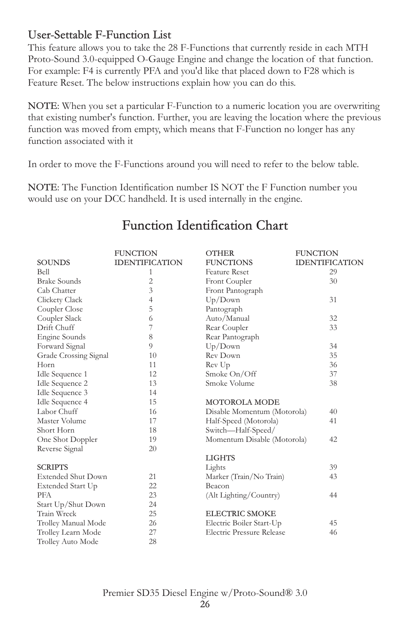### User-Settable F-Function List

This feature allows you to take the 28 F-Functions that currently reside in each MTH Proto-Sound 3.0-equipped O-Gauge Engine and change the location of that function. For example: F4 is currently PFA and you'd like that placed down to F28 which is Feature Reset. The below instructions explain how you can do this.

NOTE: When you set a particular F-Function to a numeric location you are overwriting that existing number's function. Further, you are leaving the location where the previous function was moved from empty, which means that F-Function no longer has any function associated with it

In order to move the F-Functions around you will need to refer to the below table.

NOTE: The Function Identification number IS NOT the F Function number you would use on your DCC handheld. It is used internally in the engine.

|                           | <b>FUNCTION</b>       | <b>OTHER</b>                | <b>FUNCTION</b>       |
|---------------------------|-----------------------|-----------------------------|-----------------------|
| <b>SOUNDS</b>             | <b>IDENTIFICATION</b> | <b>FUNCTIONS</b>            | <b>IDENTIFICATION</b> |
| Bell                      | 1                     | <b>Feature Reset</b>        | 29                    |
| <b>Brake Sounds</b>       | 2                     | Front Coupler               | 30                    |
| Cab Chatter               | 3                     | Front Pantograph            |                       |
| Clickety Clack            | 4                     | Up/Down                     | 31                    |
| Coupler Close             | 5                     | Pantograph                  |                       |
| Coupler Slack             | 6                     | Auto/Manual                 | 32                    |
| Drift Chuff               | 7                     | Rear Coupler                | 33                    |
| Engine Sounds             | 8                     | Rear Pantograph             |                       |
| Forward Signal            | 9                     | Up/Down                     | 34                    |
| Grade Crossing Signal     | 10                    | Rev Down                    | 35                    |
| Horn                      | 11                    | Rev Up                      | 36                    |
| Idle Sequence 1           | 12                    | Smoke On/Off                | 37                    |
| Idle Sequence 2           | 13                    | Smoke Volume                | 38                    |
| Idle Sequence 3           | 14                    |                             |                       |
| Idle Sequence 4           | 15                    | <b>MOTOROLA MODE</b>        |                       |
| Labor Chuff               | 16                    | Disable Momentum (Motorola) | 40                    |
| Master Volume             | 17                    | Half-Speed (Motorola)       | 41                    |
| Short Horn                | 18                    | Switch-Half-Speed/          |                       |
| One Shot Doppler          | 19                    | Momentum Disable (Motorola) | 42                    |
| Reverse Signal            | 20                    |                             |                       |
|                           |                       | <b>LIGHTS</b>               |                       |
| <b>SCRIPTS</b>            |                       | Lights                      | 39                    |
| <b>Extended Shut Down</b> | 21                    | Marker (Train/No Train)     | 43                    |
| Extended Start Up         | 22                    | Beacon                      |                       |
| <b>PFA</b>                | 23                    | (Alt Lighting/Country)      | 44                    |
| Start Up/Shut Down        | 24                    |                             |                       |
| Train Wreck               | 25                    | <b>ELECTRIC SMOKE</b>       |                       |
| Trolley Manual Mode       | 26                    | Electric Boiler Start-Up    | 45                    |
| Trolley Learn Mode        | 27                    | Electric Pressure Release   | 46                    |
| Trolley Auto Mode         | 28                    |                             |                       |

## Function Identification Chart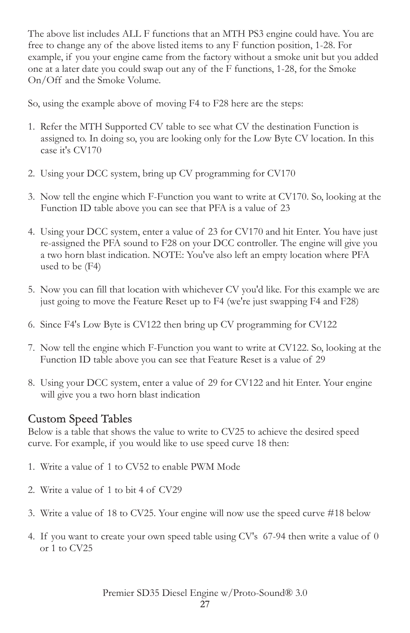The above list includes ALL F functions that an MTH PS3 engine could have. You are free to change any of the above listed items to any F function position, 1-28. For example, if you your engine came from the factory without a smoke unit but you added one at a later date you could swap out any of the F functions, 1-28, for the Smoke On/Off and the Smoke Volume.

So, using the example above of moving F4 to F28 here are the steps:

- 1. Refer the MTH Supported CV table to see what CV the destination Function is assigned to. In doing so, you are looking only for the Low Byte CV location. In this case it's CV170
- 2. Using your DCC system, bring up CV programming for CV170
- 3. Now tell the engine which F-Function you want to write at CV170. So, looking at the Function ID table above you can see that PFA is a value of 23
- 4. Using your DCC system, enter a value of 23 for CV170 and hit Enter. You have just re-assigned the PFA sound to F28 on your DCC controller. The engine will give you a two horn blast indication. NOTE: You've also left an empty location where PFA used to be (F4)
- 5. Now you can fill that location with whichever CV you'd like. For this example we are just going to move the Feature Reset up to F4 (we're just swapping F4 and F28)
- 6. Since F4's Low Byte is CV122 then bring up CV programming for CV122
- 7. Now tell the engine which F-Function you want to write at CV122. So, looking at the Function ID table above you can see that Feature Reset is a value of 29
- 8. Using your DCC system, enter a value of 29 for CV122 and hit Enter. Your engine will give you a two horn blast indication

### Custom Speed Tables

Below is a table that shows the value to write to CV25 to achieve the desired speed curve. For example, if you would like to use speed curve 18 then:

- 1. Write a value of 1 to CV52 to enable PWM Mode
- 2. Write a value of 1 to bit 4 of CV29
- 3. Write a value of 18 to CV25. Your engine will now use the speed curve #18 below
- 4. If you want to create your own speed table using CV's 67-94 then write a value of 0 or 1 to CV25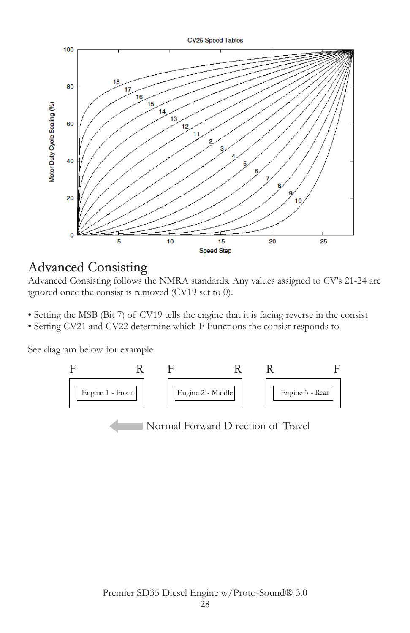

## Advanced Consisting

Advanced Consisting follows the NMRA standards. Any values assigned to CV's 21-24 are ignored once the consist is removed (CV19 set to 0).

- Setting the MSB (Bit 7) of CV19 tells the engine that it is facing reverse in the consist
- Setting CV21 and CV22 determine which F Functions the consist responds to

See diagram below for example



Normal Forward Direction of Travel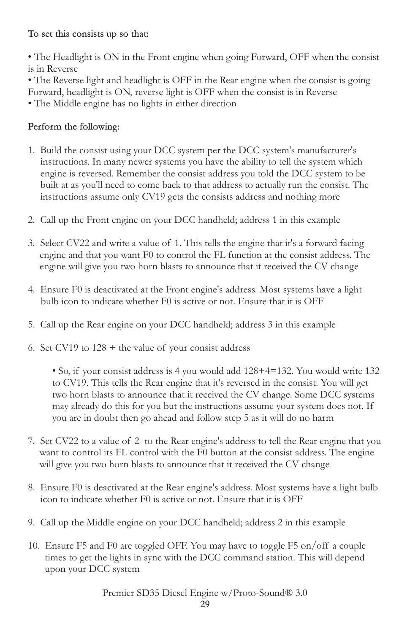#### To set this consists up so that:

• The Headlight is ON in the Front engine when going Forward, OFF when the consist is in Reverse

• The Reverse light and headlight is OFF in the Rear engine when the consist is going Forward, headlight is ON, reverse light is OFF when the consist is in Reverse • The Middle engine has no lights in either direction

#### Perform the following:

- 1. Build the consist using your DCC system per the DCC system's manufacturer's instructions. In many newer systems you have the ability to tell the system which engine is reversed. Remember the consist address you told the DCC system to be built at as you'll need to come back to that address to actually run the consist. The instructions assume only CV19 gets the consists address and nothing more
- 2. Call up the Front engine on your DCC handheld; address 1 in this example
- 3. Select CV22 and write a value of 1. This tells the engine that it's a forward facing engine and that you want F0 to control the FL function at the consist address. The engine will give you two horn blasts to announce that it received the CV change
- 4. Ensure F0 is deactivated at the Front engine's address. Most systems have a light bulb icon to indicate whether F0 is active or not. Ensure that it is OFF
- 5. Call up the Rear engine on your DCC handheld; address 3 in this example
- 6. Set CV19 to  $128 +$  the value of your consist address

• So, if your consist address is 4 you would add 128+4=132. You would write 132 to CV19. This tells the Rear engine that it's reversed in the consist. You will get two horn blasts to announce that it received the CV change. Some DCC systems may already do this for you but the instructions assume your system does not. If you are in doubt then go ahead and follow step 5 as it will do no harm

- 7. Set CV22 to a value of 2 to the Rear engine's address to tell the Rear engine that you want to control its FL control with the F0 button at the consist address. The engine will give you two horn blasts to announce that it received the CV change
- 8. Ensure F0 is deactivated at the Rear engine's address. Most systems have a light bulb icon to indicate whether F0 is active or not. Ensure that it is OFF
- 9. Call up the Middle engine on your DCC handheld; address 2 in this example
- 10. Ensure F5 and F0 are toggled OFF. You may have to toggle F5 on/off a couple times to get the lights in sync with the DCC command station. This will depend upon your DCC system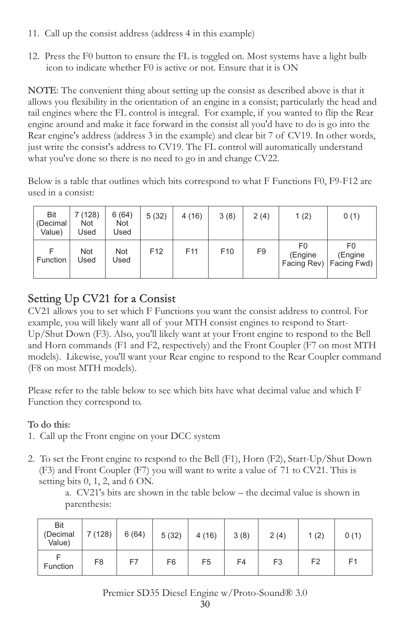- 11. Call up the consist address (address 4 in this example)
- 12. Press the F0 button to ensure the FL is toggled on. Most systems have a light bulb icon to indicate whether F0 is active or not. Ensure that it is ON

NOTE: The convenient thing about setting up the consist as described above is that it allows you flexibility in the orientation of an engine in a consist; particularly the head and tail engines where the FL control is integral. For example, if you wanted to flip the Rear engine around and make it face forward in the consist all you'd have to do is go into the Rear engine's address (address 3 in the example) and clear bit 7 of CV19. In other words, just write the consist's address to CV19. The FL control will automatically understand what you've done so there is no need to go in and change CV22.

Below is a table that outlines which bits correspond to what F Functions F0, F9-F12 are used in a consist:

| <b>Bit</b><br>(Decimal<br>Value) | 7 (128)<br><b>Not</b><br>Used | 6(64)<br>Not<br>Jsed | 5(32)           | 4(16)           | 3(8)            | 2(4) | 1(2)          | 0(1)                                       |
|----------------------------------|-------------------------------|----------------------|-----------------|-----------------|-----------------|------|---------------|--------------------------------------------|
| <b>Function</b>                  | <b>Not</b><br>Used            | <b>Not</b><br>Used   | F <sub>12</sub> | F <sub>11</sub> | F <sub>10</sub> | F9   | F0<br>(Engine | F0<br>(Engine<br>Facing Rev)   Facing Fwd) |

### Setting Up CV21 for a Consist

CV21 allows you to set which F Functions you want the consist address to control. For example, you will likely want all of your MTH consist engines to respond to Start-Up/Shut Down (F3). Also, you'll likely want at your Front engine to respond to the Bell and Horn commands (F1 and F2, respectively) and the Front Coupler (F7 on most MTH models). Likewise, you'll want your Rear engine to respond to the Rear Coupler command (F8 on most MTH models).

Please refer to the table below to see which bits have what decimal value and which F Function they correspond to.

#### To do this:

- 1. Call up the Front engine on your DCC system
- 2. To set the Front engine to respond to the Bell (F1), Horn (F2), Start-Up/Shut Down (F3) and Front Coupler (F7) you will want to write a value of 71 to CV21. This is setting bits 0, 1, 2, and 6 ON.

a. CV21's bits are shown in the table below – the decimal value is shown in parenthesis:

| <b>Bit</b><br>(Decimal<br>Value) | 7 (128)        | 6(64) | 5(32)          | 4(16)          | 3(8) | 2(4)           | 1(2)           | 0(1)           |
|----------------------------------|----------------|-------|----------------|----------------|------|----------------|----------------|----------------|
| Function                         | F <sub>8</sub> | F7    | F <sub>6</sub> | F <sub>5</sub> | F4   | F <sub>3</sub> | F <sub>2</sub> | F <sub>1</sub> |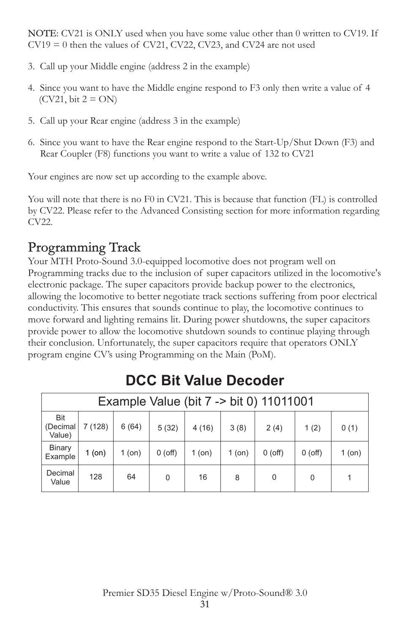NOTE: CV21 is ONLY used when you have some value other than 0 written to CV19. If  $CV19 = 0$  then the values of CV21, CV22, CV23, and CV24 are not used

- 3. Call up your Middle engine (address 2 in the example)
- 4. Since you want to have the Middle engine respond to F3 only then write a value of 4  $(CV21, \text{bit } 2 = ON)$
- 5. Call up your Rear engine (address 3 in the example)
- 6. Since you want to have the Rear engine respond to the Start-Up/Shut Down (F3) and Rear Coupler (F8) functions you want to write a value of 132 to CV21

Your engines are now set up according to the example above.

You will note that there is no F0 in CV21. This is because that function (FL) is controlled by CV22. Please refer to the Advanced Consisting section for more information regarding CV22.

# Programming Track

Your MTH Proto-Sound 3.0-equipped locomotive does not program well on Programming tracks due to the inclusion of super capacitors utilized in the locomotive's electronic package. The super capacitors provide backup power to the electronics, allowing the locomotive to better negotiate track sections suffering from poor electrical conductivity. This ensures that sounds continue to play, the locomotive continues to move forward and lighting remains lit. During power shutdowns, the super capacitors provide power to allow the locomotive shutdown sounds to continue playing through their conclusion. Unfortunately, the super capacitors require that operators ONLY program engine CV's using Programming on the Main (PoM).

|                                  | Example Value (bit 7 -> bit 0) 11011001 |          |           |        |        |           |           |        |
|----------------------------------|-----------------------------------------|----------|-----------|--------|--------|-----------|-----------|--------|
| <b>Bit</b><br>(Decimal<br>Value) | 7 (128)                                 | 6(64)    | 5(32)     | 4(16)  | 3(8)   | 2(4)      | 1(2)      | 0(1)   |
| <b>Binary</b><br>Example         | 1 (on)                                  | $1$ (on) | $0$ (off) | 1 (on) | 1 (on) | $0$ (off) | $0$ (off) | 1 (on) |
| Decimal<br>Value                 | 128                                     | 64       | $\Omega$  | 16     | 8      | 0         | 0         |        |

# **DCC Bit Value Decoder**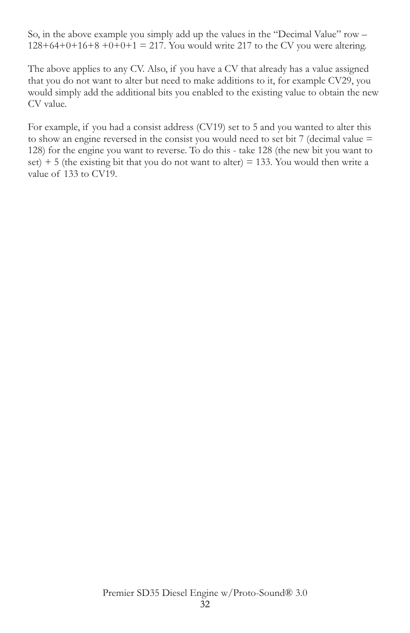So, in the above example you simply add up the values in the "Decimal Value" row –  $128+64+0+16+8+0+0+1 = 217$ . You would write 217 to the CV you were altering.

The above applies to any CV. Also, if you have a CV that already has a value assigned that you do not want to alter but need to make additions to it, for example CV29, you would simply add the additional bits you enabled to the existing value to obtain the new CV value.

For example, if you had a consist address (CV19) set to 5 and you wanted to alter this to show an engine reversed in the consist you would need to set bit 7 (decimal value = 128) for the engine you want to reverse. To do this - take 128 (the new bit you want to set)  $+5$  (the existing bit that you do not want to alter) = 133. You would then write a value of 133 to CV19.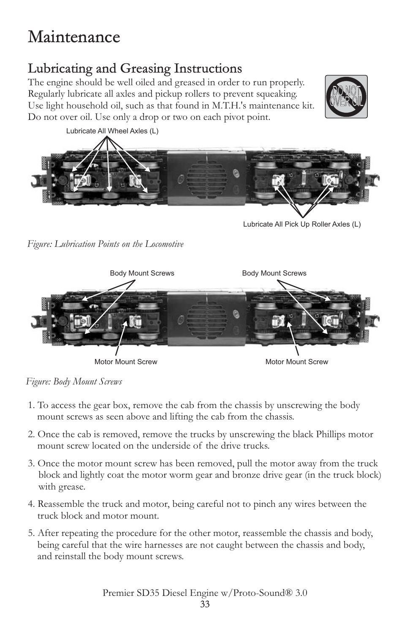# Maintenance

# Lubricating and Greasing Instructions

The engine should be well oiled and greased in order to run properly. Regularly lubricate all axles and pickup rollers to prevent squeaking. Use light household oil, such as that found in M.T.H.'s maintenance kit. Do not over oil. Use only a drop or two on each pivot point.





Lubricate All Pick Up Roller Axles (L)

*Figure: Lubrication Points on the Locomotive*



*Figure: Body Mount Screws*

- 1. To access the gear box, remove the cab from the chassis by unscrewing the body mount screws as seen above and lifting the cab from the chassis.
- 2. Once the cab is removed, remove the trucks by unscrewing the black Phillips motor mount screw located on the underside of the drive trucks.
- 3. Once the motor mount screw has been removed, pull the motor away from the truck block and lightly coat the motor worm gear and bronze drive gear (in the truck block) with grease.
- 4. Reassemble the truck and motor, being careful not to pinch any wires between the truck block and motor mount.
- 5. After repeating the procedure for the other motor, reassemble the chassis and body, being careful that the wire harnesses are not caught between the chassis and body, and reinstall the body mount screws.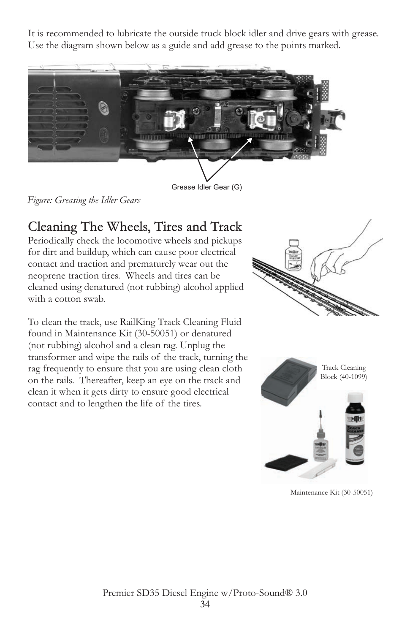It is recommended to lubricate the outside truck block idler and drive gears with grease. Use the diagram shown below as a guide and add grease to the points marked.



Grease Idler Gear (G)

*Figure: Greasing the Idler Gears*

# Cleaning The Wheels, Tires and Track

Periodically check the locomotive wheels and pickups for dirt and buildup, which can cause poor electrical contact and traction and prematurely wear out the neoprene traction tires. Wheels and tires can be cleaned using denatured (not rubbing) alcohol applied with a cotton swab.

To clean the track, use RailKing Track Cleaning Fluid found in Maintenance Kit (30-50051) or denatured (not rubbing) alcohol and a clean rag. Unplug the transformer and wipe the rails of the track, turning the rag frequently to ensure that you are using clean cloth on the rails. Thereafter, keep an eye on the track and clean it when it gets dirty to ensure good electrical contact and to lengthen the life of the tires.





Maintenance Kit (30-50051)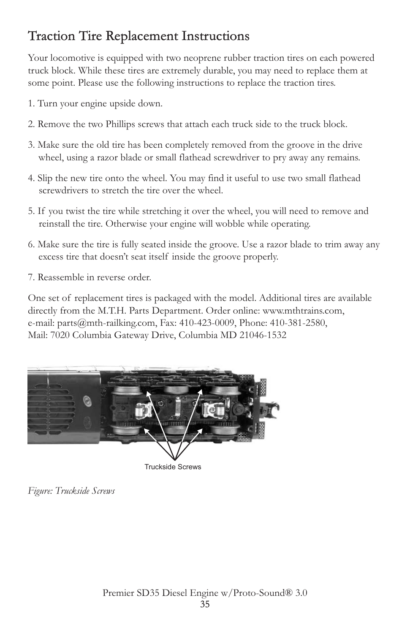# Traction Tire Replacement Instructions

Your locomotive is equipped with two neoprene rubber traction tires on each powered truck block. While these tires are extremely durable, you may need to replace them at some point. Please use the following instructions to replace the traction tires.

- 1. Turn your engine upside down.
- 2. Remove the two Phillips screws that attach each truck side to the truck block.
- 3. Make sure the old tire has been completely removed from the groove in the drive wheel, using a razor blade or small flathead screwdriver to pry away any remains.
- 4. Slip the new tire onto the wheel. You may find it useful to use two small flathead screwdrivers to stretch the tire over the wheel.
- 5. If you twist the tire while stretching it over the wheel, you will need to remove and reinstall the tire. Otherwise your engine will wobble while operating.
- 6. Make sure the tire is fully seated inside the groove. Use a razor blade to trim away any excess tire that doesn't seat itself inside the groove properly.
- 7. Reassemble in reverse order.

One set of replacement tires is packaged with the model. Additional tires are available directly from the M.T.H. Parts Department. Order online: www.mthtrains.com, e-mail: parts@mth-railking.com, Fax: 410-423-0009, Phone: 410-381-2580, Mail: 7020 Columbia Gateway Drive, Columbia MD 21046-1532



Truckside Screws

*Figure: Truckside Screws*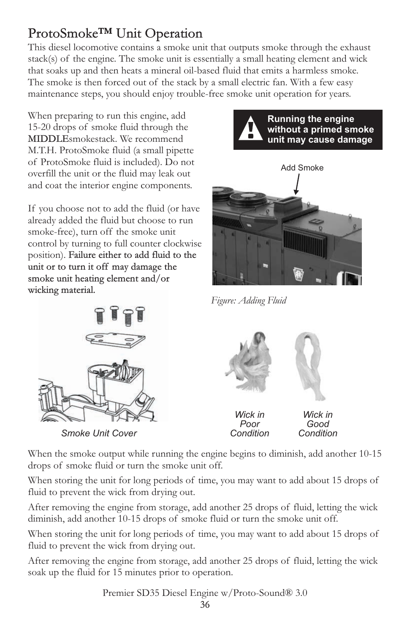# ProtoSmoke™ Unit Operation

This diesel locomotive contains a smoke unit that outputs smoke through the exhaust stack(s) of the engine. The smoke unit is essentially a small heating element and wick that soaks up and then heats a mineral oil-based fluid that emits a harmless smoke. The smoke is then forced out of the stack by a small electric fan. With a few easy maintenance steps, you should enjoy trouble-free smoke unit operation for years.

When preparing to run this engine, add 15-20 drops of smoke fluid through the MIDDLEsmokestack. We recommend M.T.H. ProtoSmoke fluid (a small pipette of ProtoSmoke fluid is included). Do not overfill the unit or the fluid may leak out and coat the interior engine components.

If you choose not to add the fluid (or have already added the fluid but choose to run smoke-free), turn off the smoke unit control by turning to full counter clockwise position). Failure either to add fluid to the unit or to turn it off may damage the smoke unit heating element and/or wicking material.





*Figure: Adding Fluid*



*Smoke Unit Cover*



*Wick in Poor Condition*

*Wick in Good Condition*

When the smoke output while running the engine begins to diminish, add another 10-15 drops of smoke fluid or turn the smoke unit off.

When storing the unit for long periods of time, you may want to add about 15 drops of fluid to prevent the wick from drying out.

After removing the engine from storage, add another 25 drops of fluid, letting the wick diminish, add another 10-15 drops of smoke fluid or turn the smoke unit off.

When storing the unit for long periods of time, you may want to add about 15 drops of fluid to prevent the wick from drying out.

After removing the engine from storage, add another 25 drops of fluid, letting the wick soak up the fluid for 15 minutes prior to operation.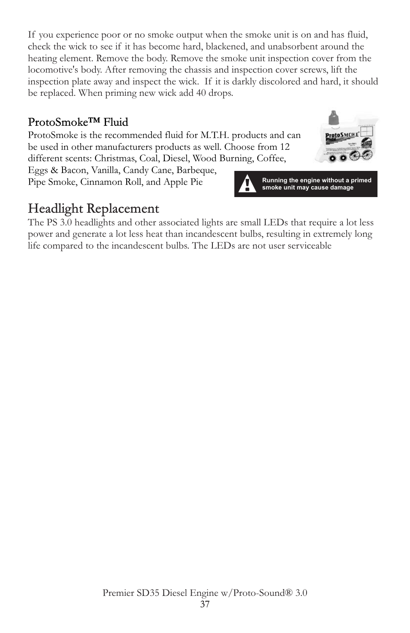If you experience poor or no smoke output when the smoke unit is on and has fluid, check the wick to see if it has become hard, blackened, and unabsorbent around the heating element. Remove the body. Remove the smoke unit inspection cover from the locomotive's body. After removing the chassis and inspection cover screws, lift the inspection plate away and inspect the wick. If it is darkly discolored and hard, it should be replaced. When priming new wick add 40 drops.

### ProtoSmoke™ Fluid

ProtoSmoke is the recommended fluid for M.T.H. products and can be used in other manufacturers products as well. Choose from 12 different scents: Christmas, Coal, Diesel, Wood Burning, Coffee,

Eggs & Bacon, Vanilla, Candy Cane, Barbeque, Pipe Smoke, Cinnamon Roll, and Apple Pie



# Headlight Replacement

The PS 3.0 headlights and other associated lights are small LEDs that require a lot less power and generate a lot less heat than incandescent bulbs, resulting in extremely long life compared to the incandescent bulbs. The LEDs are not user serviceable

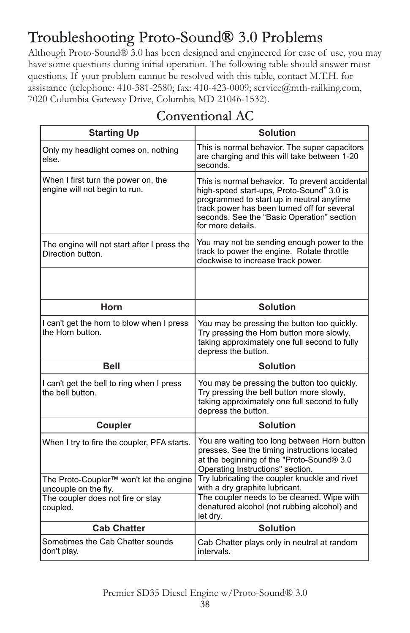# Troubleshooting Proto-Sound® 3.0 Problems

Although Proto-Sound® 3.0 has been designed and engineered for ease of use, you may have some questions during initial operation. The following table should answer most questions. If your problem cannot be resolved with this table, contact M.T.H. for assistance (telephone: 410-381-2580; fax: 410-423-0009; service@mth-railking.com, 7020 Columbia Gateway Drive, Columbia MD 21046-1532).

| <b>Starting Up</b>                                                          | <b>Solution</b>                                                                                                                                                                                                                                            |
|-----------------------------------------------------------------------------|------------------------------------------------------------------------------------------------------------------------------------------------------------------------------------------------------------------------------------------------------------|
| Only my headlight comes on, nothing<br>else.                                | This is normal behavior. The super capacitors<br>are charging and this will take between 1-20<br>seconds.                                                                                                                                                  |
| When I first turn the power on, the<br>engine will not begin to run.        | This is normal behavior. To prevent accidental<br>high-speed start-ups, Proto-Sound® 3.0 is<br>programmed to start up in neutral anytime<br>track power has been turned off for several<br>seconds. See the "Basic Operation" section<br>for more details. |
| The engine will not start after I press the<br>Direction button.            | You may not be sending enough power to the<br>track to power the engine. Rotate throttle<br>clockwise to increase track power.                                                                                                                             |
|                                                                             |                                                                                                                                                                                                                                                            |
| Horn                                                                        | <b>Solution</b>                                                                                                                                                                                                                                            |
| I can't get the horn to blow when I press<br>the Horn button.               | You may be pressing the button too quickly.<br>Try pressing the Horn button more slowly,<br>taking approximately one full second to fully<br>depress the button.                                                                                           |
| <b>Bell</b>                                                                 | <b>Solution</b>                                                                                                                                                                                                                                            |
| I can't get the bell to ring when I press<br>the bell button.               | You may be pressing the button too quickly.<br>Try pressing the bell button more slowly,<br>taking approximately one full second to fully<br>depress the button.                                                                                           |
| Coupler                                                                     | <b>Solution</b>                                                                                                                                                                                                                                            |
| When I try to fire the coupler, PFA starts.                                 | You are waiting too long between Horn button<br>presses. See the timing instructions located<br>at the beginning of the "Proto-Sound® 3.0<br>Operating Instructions" section.                                                                              |
| The Proto-Coupler <sup>™</sup> won't let the engine<br>uncouple on the fly. | Try lubricating the coupler knuckle and rivet<br>with a dry graphite lubricant.                                                                                                                                                                            |
| The coupler does not fire or stay<br>coupled.                               | The coupler needs to be cleaned. Wipe with<br>denatured alcohol (not rubbing alcohol) and<br>let dry.                                                                                                                                                      |
| <b>Cab Chatter</b>                                                          | <b>Solution</b>                                                                                                                                                                                                                                            |
| Sometimes the Cab Chatter sounds<br>don't play.                             | Cab Chatter plays only in neutral at random<br>intervals.                                                                                                                                                                                                  |

### Conventional AC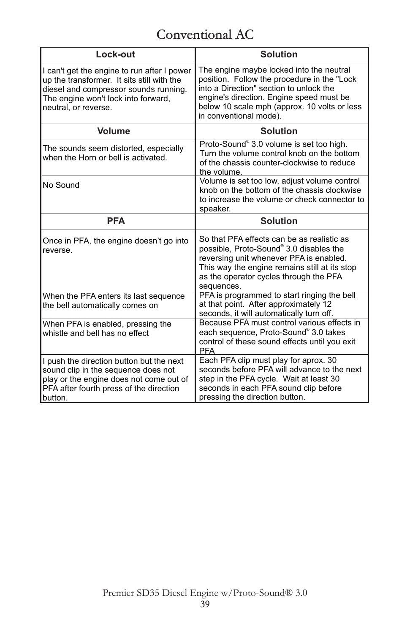# Conventional AC

| Lock-out                                                                                                                                                                                          | <b>Solution</b>                                                                                                                                                                                                                                          |  |  |
|---------------------------------------------------------------------------------------------------------------------------------------------------------------------------------------------------|----------------------------------------------------------------------------------------------------------------------------------------------------------------------------------------------------------------------------------------------------------|--|--|
| I can't get the engine to run after I power<br>up the transformer. It sits still with the<br>diesel and compressor sounds running.<br>The engine won't lock into forward,<br>neutral, or reverse. | The engine maybe locked into the neutral<br>position. Follow the procedure in the "Lock<br>into a Direction" section to unlock the<br>engine's direction. Engine speed must be<br>below 10 scale mph (approx. 10 volts or less<br>in conventional mode). |  |  |
| <b>Volume</b>                                                                                                                                                                                     | <b>Solution</b>                                                                                                                                                                                                                                          |  |  |
| The sounds seem distorted, especially<br>when the Horn or bell is activated.                                                                                                                      | Proto-Sound® 3.0 volume is set too high.<br>Turn the volume control knob on the bottom<br>of the chassis counter-clockwise to reduce<br>the volume.                                                                                                      |  |  |
| No Sound                                                                                                                                                                                          | Volume is set too low, adjust volume control<br>knob on the bottom of the chassis clockwise<br>to increase the volume or check connector to<br>speaker.                                                                                                  |  |  |
| <b>PFA</b>                                                                                                                                                                                        | <b>Solution</b>                                                                                                                                                                                                                                          |  |  |
| Once in PFA, the engine doesn't go into<br>reverse.                                                                                                                                               | So that PFA effects can be as realistic as<br>possible, Proto-Sound® 3.0 disables the<br>reversing unit whenever PFA is enabled.<br>This way the engine remains still at its stop<br>as the operator cycles through the PFA<br>sequences.                |  |  |
| When the PFA enters its last sequence<br>the bell automatically comes on                                                                                                                          | PFA is programmed to start ringing the bell<br>at that point. After approximately 12<br>seconds, it will automatically turn off.                                                                                                                         |  |  |
| When PFA is enabled, pressing the<br>whistle and hell has no effect                                                                                                                               | Because PFA must control various effects in<br>each sequence, Proto-Sound® 3.0 takes<br>control of these sound effects until you exit<br><b>PFA</b>                                                                                                      |  |  |
| I push the direction button but the next<br>sound clip in the sequence does not<br>play or the engine does not come out of<br>PFA after fourth press of the direction<br>button.                  | Each PFA clip must play for aprox. 30<br>seconds before PFA will advance to the next<br>step in the PFA cycle. Wait at least 30<br>seconds in each PFA sound clip before<br>pressing the direction button.                                               |  |  |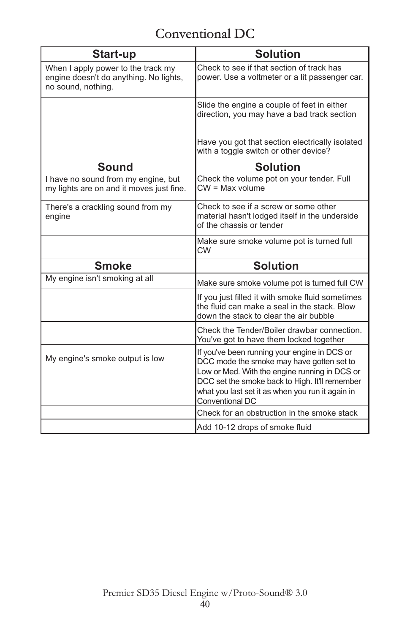# Conventional DC

| Start-up                                                                                           | <b>Solution</b>                                                                                                                                                                                                                                                     |
|----------------------------------------------------------------------------------------------------|---------------------------------------------------------------------------------------------------------------------------------------------------------------------------------------------------------------------------------------------------------------------|
| When I apply power to the track my<br>engine doesn't do anything. No lights,<br>no sound, nothing. | Check to see if that section of track has<br>power. Use a voltmeter or a lit passenger car.                                                                                                                                                                         |
|                                                                                                    | Slide the engine a couple of feet in either<br>direction, you may have a bad track section                                                                                                                                                                          |
|                                                                                                    | Have you got that section electrically isolated<br>with a toggle switch or other device?                                                                                                                                                                            |
| <b>Sound</b>                                                                                       | <b>Solution</b>                                                                                                                                                                                                                                                     |
| I have no sound from my engine, but<br>my lights are on and it moves just fine.                    | Check the volume pot on your tender. Full<br>$CW = Max volume$                                                                                                                                                                                                      |
| There's a crackling sound from my<br>engine                                                        | Check to see if a screw or some other<br>material hasn't lodged itself in the underside<br>of the chassis or tender                                                                                                                                                 |
|                                                                                                    | Make sure smoke volume pot is turned full<br><b>CW</b>                                                                                                                                                                                                              |
| <b>Smoke</b>                                                                                       | <b>Solution</b>                                                                                                                                                                                                                                                     |
| My engine isn't smoking at all                                                                     | Make sure smoke volume pot is turned full CW                                                                                                                                                                                                                        |
|                                                                                                    | If you just filled it with smoke fluid sometimes<br>the fluid can make a seal in the stack. Blow<br>down the stack to clear the air bubble                                                                                                                          |
|                                                                                                    | Check the Tender/Boiler drawbar connection.<br>You've got to have them locked together                                                                                                                                                                              |
| My engine's smoke output is low                                                                    | If you've been running your engine in DCS or<br>DCC mode the smoke may have gotten set to<br>Low or Med. With the engine running in DCS or<br>DCC set the smoke back to High. It'll remember<br>what you last set it as when you run it again in<br>Conventional DC |
|                                                                                                    | Check for an obstruction in the smoke stack                                                                                                                                                                                                                         |
|                                                                                                    | Add 10-12 drops of smoke fluid                                                                                                                                                                                                                                      |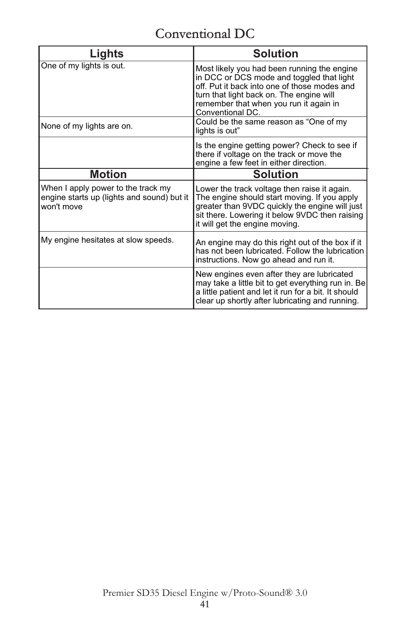# Conventional DC

| Lights                                                                                         | <b>Solution</b>                                                                                                                                                                                                                                    |
|------------------------------------------------------------------------------------------------|----------------------------------------------------------------------------------------------------------------------------------------------------------------------------------------------------------------------------------------------------|
| One of my lights is out.                                                                       | Most likely you had been running the engine<br>in DCC or DCS mode and toggled that light<br>off. Put it back into one of those modes and<br>turn that light back on. The engine will<br>remember that when you run it again in<br>Conventional DC. |
| None of my lights are on.                                                                      | Could be the same reason as "One of my<br>lights is out"                                                                                                                                                                                           |
|                                                                                                | Is the engine getting power? Check to see if<br>there if voltage on the track or move the<br>engine a few feet in either direction.                                                                                                                |
| Motion                                                                                         | Solution                                                                                                                                                                                                                                           |
| When I apply power to the track my<br>engine starts up (lights and sound) but it<br>won't move | Lower the track voltage then raise it again.<br>The engine should start moving. If you apply<br>greater than 9VDC quickly the engine will just<br>sit there. Lowering it below 9VDC then raising<br>it will get the engine moving.                 |
| My engine hesitates at slow speeds.                                                            | An engine may do this right out of the box if it<br>has not been lubricated. Follow the lubrication<br>instructions. Now go ahead and run it.                                                                                                      |
|                                                                                                | New engines even after they are lubricated<br>may take a little bit to get everything run in. Be<br>a little patient and let it run for a bit. It should<br>clear up shortly after lubricating and running.                                        |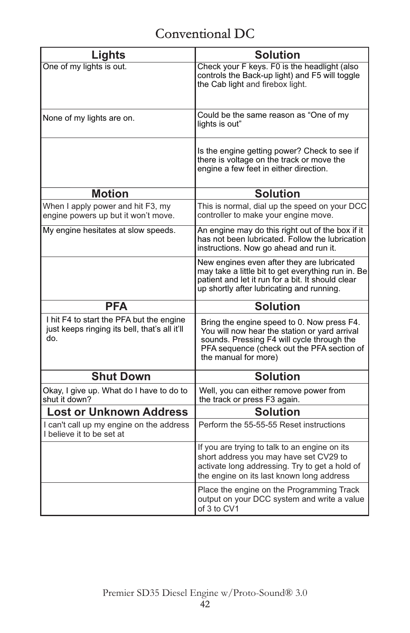# Conventional DC

| Lights                                                                                           | <b>Solution</b>                                                                                                                                                                                                 |
|--------------------------------------------------------------------------------------------------|-----------------------------------------------------------------------------------------------------------------------------------------------------------------------------------------------------------------|
| One of my lights is out.                                                                         | Check your F keys. F0 is the headlight (also<br>controls the Back-up light) and F5 will toggle<br>the Cab light and firebox light.                                                                              |
| None of my lights are on.                                                                        | Could be the same reason as "One of my<br>lights is out"                                                                                                                                                        |
|                                                                                                  | Is the engine getting power? Check to see if<br>there is voltage on the track or move the<br>engine a few feet in either direction.                                                                             |
| <b>Motion</b>                                                                                    | <b>Solution</b>                                                                                                                                                                                                 |
| When I apply power and hit F3, my<br>engine powers up but it won't move.                         | This is normal, dial up the speed on your DCC<br>controller to make your engine move.                                                                                                                           |
| My engine hesitates at slow speeds.                                                              | An engine may do this right out of the box if it<br>has not been lubricated. Follow the lubrication<br>instructions. Now go ahead and run it.                                                                   |
|                                                                                                  | New engines even after they are lubricated<br>may take a little bit to get everything run in. Be<br>patient and let it run for a bit. It should clear<br>up shortly after lubricating and running.              |
| <b>PFA</b>                                                                                       | <b>Solution</b>                                                                                                                                                                                                 |
| I hit F4 to start the PFA but the engine<br>just keeps ringing its bell, that's all it'll<br>do. | Bring the engine speed to 0. Now press F4.<br>You will now hear the station or yard arrival<br>sounds. Pressing F4 will cycle through the<br>PFA sequence (check out the PFA section of<br>the manual for more) |
| <b>Shut Down</b>                                                                                 | <b>Solution</b>                                                                                                                                                                                                 |
| Okay, I give up. What do I have to do to<br>shut it down?                                        | Well, you can either remove power from<br>the track or press F3 again.                                                                                                                                          |
| <b>Lost or Unknown Address</b>                                                                   | <b>Solution</b>                                                                                                                                                                                                 |
| I can't call up my engine on the address<br>I believe it to be set at                            | Perform the 55-55-55 Reset instructions                                                                                                                                                                         |
|                                                                                                  | If you are trying to talk to an engine on its<br>short address you may have set CV29 to<br>activate long addressing. Try to get a hold of<br>the engine on its last known long address                          |
|                                                                                                  | Place the engine on the Programming Track<br>output on your DCC system and write a value<br>of 3 to CV1                                                                                                         |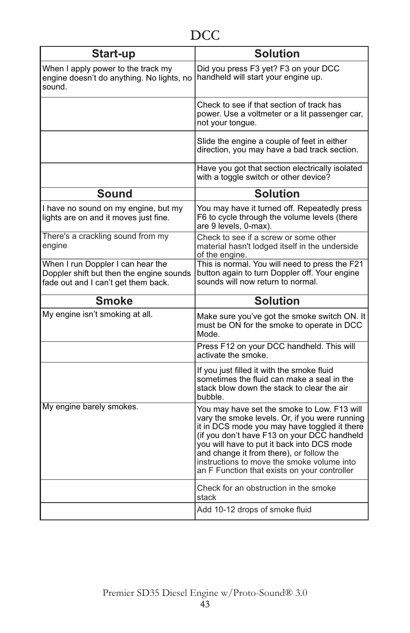| Start-up                                                                                                             | <b>Solution</b>                                                                                                                                                                                                                                                                                                                                                                      |  |  |
|----------------------------------------------------------------------------------------------------------------------|--------------------------------------------------------------------------------------------------------------------------------------------------------------------------------------------------------------------------------------------------------------------------------------------------------------------------------------------------------------------------------------|--|--|
| When I apply power to the track my<br>engine doesn't do anything. No lights, no<br>sound.                            | Did you press F3 yet? F3 on your DCC<br>handheld will start your engine up.                                                                                                                                                                                                                                                                                                          |  |  |
|                                                                                                                      | Check to see if that section of track has<br>power. Use a voltmeter or a lit passenger car.<br>not your tongue.                                                                                                                                                                                                                                                                      |  |  |
|                                                                                                                      | Slide the engine a couple of feet in either<br>direction, you may have a bad track section.                                                                                                                                                                                                                                                                                          |  |  |
|                                                                                                                      | Have you got that section electrically isolated<br>with a toggle switch or other device?                                                                                                                                                                                                                                                                                             |  |  |
| <b>Sound</b>                                                                                                         | <b>Solution</b>                                                                                                                                                                                                                                                                                                                                                                      |  |  |
| I have no sound on my engine, but my<br>lights are on and it moves just fine.                                        | You may have it turned off. Repeatedly press<br>F6 to cycle through the volume levels (there<br>are 9 levels, 0-max).                                                                                                                                                                                                                                                                |  |  |
| There's a crackling sound from my<br>engine                                                                          | Check to see if a screw or some other<br>material hasn't lodged itself in the underside<br>of the engine.                                                                                                                                                                                                                                                                            |  |  |
| When I run Doppler I can hear the<br>Doppler shift but then the engine sounds<br>fade out and I can't get them back. | This is normal. You will need to press the F21<br>button again to turn Doppler off. Your engine<br>sounds will now return to normal.                                                                                                                                                                                                                                                 |  |  |
| <b>Smoke</b>                                                                                                         | <b>Solution</b>                                                                                                                                                                                                                                                                                                                                                                      |  |  |
| My engine isn't smoking at all.                                                                                      | Make sure you've got the smoke switch ON. It<br>must be ON for the smoke to operate in DCC<br>Mode.                                                                                                                                                                                                                                                                                  |  |  |
|                                                                                                                      | Press F12 on your DCC handheld. This will<br>activate the smoke.                                                                                                                                                                                                                                                                                                                     |  |  |
|                                                                                                                      | If you just filled it with the smoke fluid<br>sometimes the fluid can make a seal in the<br>stack blow down the stack to clear the air<br>bubble.                                                                                                                                                                                                                                    |  |  |
| My engine barely smokes.                                                                                             | You may have set the smoke to Low. F13 will<br>vary the smoke levels. Or, if you were running<br>it in DCS mode you may have toggled it there<br>(if you don't have F13 on your DCC handheld<br>you will have to put it back into DCS mode<br>and change it from there), or follow the<br>instructions to move the smoke volume into<br>an F Function that exists on your controller |  |  |
|                                                                                                                      | Check for an obstruction in the smoke<br>stack                                                                                                                                                                                                                                                                                                                                       |  |  |
|                                                                                                                      | Add 10-12 drops of smoke fluid                                                                                                                                                                                                                                                                                                                                                       |  |  |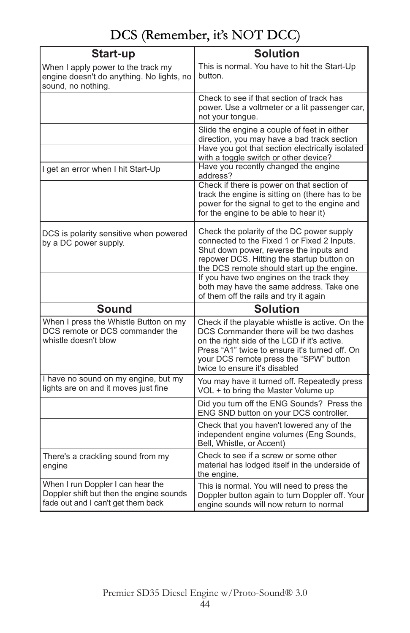# DCS (Remember, it's NOT DCC)

| Start-up                                                                                                            | <b>Solution</b>                                                                                                                                                                                                                                                        |
|---------------------------------------------------------------------------------------------------------------------|------------------------------------------------------------------------------------------------------------------------------------------------------------------------------------------------------------------------------------------------------------------------|
| When I apply power to the track my<br>engine doesn't do anything. No lights, no<br>sound, no nothing.               | This is normal. You have to hit the Start-Up<br>button.                                                                                                                                                                                                                |
|                                                                                                                     | Check to see if that section of track has<br>power. Use a voltmeter or a lit passenger car,<br>not your tongue.                                                                                                                                                        |
|                                                                                                                     | Slide the engine a couple of feet in either<br>direction, you may have a bad track section<br>Have you got that section electrically isolated<br>with a toggle switch or other device?                                                                                 |
| I get an error when I hit Start-Up                                                                                  | Have you recently changed the engine<br>address?                                                                                                                                                                                                                       |
|                                                                                                                     | Check if there is power on that section of<br>track the engine is sitting on (there has to be<br>power for the signal to get to the engine and<br>for the engine to be able to hear it)                                                                                |
| DCS is polarity sensitive when powered<br>by a DC power supply.                                                     | Check the polarity of the DC power supply<br>connected to the Fixed 1 or Fixed 2 Inputs.<br>Shut down power, reverse the inputs and<br>repower DCS. Hitting the startup button on<br>the DCS remote should start up the engine.                                        |
|                                                                                                                     | If you have two engines on the track they<br>both may have the same address. Take one<br>of them off the rails and try it again                                                                                                                                        |
| <b>Sound</b>                                                                                                        | <b>Solution</b>                                                                                                                                                                                                                                                        |
| When I press the Whistle Button on my<br>DCS remote or DCS commander the<br>whistle doesn't blow                    | Check if the playable whistle is active. On the<br>DCS Commander there will be two dashes<br>on the right side of the LCD if it's active.<br>Press "A1" twice to ensure it's turned off. On<br>your DCS remote press the "SPW" button<br>twice to ensure it's disabled |
| I have no sound on my engine, but my<br>lights are on and it moves just fine                                        | You may have it turned off. Repeatedly press<br>VOL + to bring the Master Volume up                                                                                                                                                                                    |
|                                                                                                                     | Did you turn off the ENG Sounds? Press the<br>ENG SND button on your DCS controller.                                                                                                                                                                                   |
|                                                                                                                     | Check that you haven't lowered any of the<br>independent engine volumes (Eng Sounds,<br>Bell, Whistle, or Accent)                                                                                                                                                      |
| There's a crackling sound from my<br>engine                                                                         | Check to see if a screw or some other<br>material has lodged itself in the underside of<br>the engine.                                                                                                                                                                 |
| When I run Doppler I can hear the<br>Doppler shift but then the engine sounds<br>fade out and I can't get them back | This is normal. You will need to press the<br>Doppler button again to turn Doppler off. Your<br>engine sounds will now return to normal                                                                                                                                |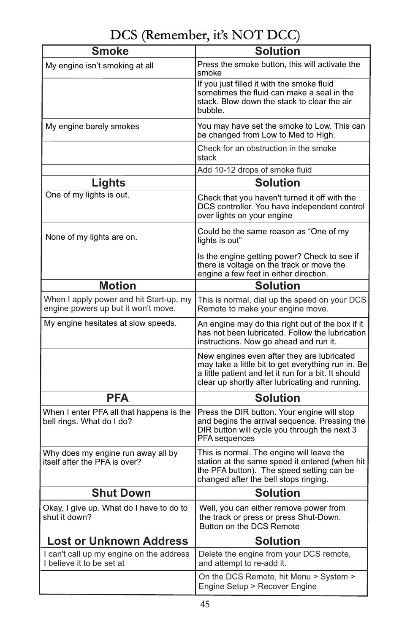# DCS (Remember, it's NOT DCC)

| <b>Smoke</b>                                                                   | <b>Solution</b>                                                                                                                                                                                             |
|--------------------------------------------------------------------------------|-------------------------------------------------------------------------------------------------------------------------------------------------------------------------------------------------------------|
| My engine isn't smoking at all                                                 | Press the smoke button, this will activate the<br>smoke                                                                                                                                                     |
|                                                                                | If you just filled it with the smoke fluid<br>sometimes the fluid can make a seal in the<br>stack. Blow down the stack to clear the air<br>bubble.                                                          |
| My engine barely smokes                                                        | You may have set the smoke to Low. This can<br>be changed from Low to Med to High.                                                                                                                          |
|                                                                                | Check for an obstruction in the smoke<br>stack                                                                                                                                                              |
|                                                                                | Add 10-12 drops of smoke fluid                                                                                                                                                                              |
| Lights                                                                         | <b>Solution</b>                                                                                                                                                                                             |
| One of my lights is out.                                                       | Check that you haven't turned it off with the<br>DCS controller. You have independent control<br>over lights on your engine                                                                                 |
| None of my lights are on.                                                      | Could be the same reason as "One of my<br>lights is out"                                                                                                                                                    |
|                                                                                | Is the engine getting power? Check to see if<br>there is voltage on the track or move the<br>engine a few feet in either direction.                                                                         |
| <b>Motion</b>                                                                  | <b>Solution</b>                                                                                                                                                                                             |
| When I apply power and hit Start-up, my<br>engine powers up but it won't move. | This is normal, dial up the speed on your DCS<br>Remote to make your engine move.                                                                                                                           |
| My engine hesitates at slow speeds.                                            | An engine may do this right out of the box if it<br>has not been lubricated. Follow the lubrication<br>instructions. Now go ahead and run it.                                                               |
|                                                                                | New engines even after they are lubricated<br>may take a little bit to get everything run in. Be<br>a little patient and let it run for a bit. It should<br>clear up shortly after lubricating and running. |
| <b>PFA</b>                                                                     | <b>Solution</b>                                                                                                                                                                                             |
| When I enter PFA all that happens is the<br>bell rings. What do I do?          | Press the DIR button. Your engine will stop<br>and begins the arrival sequence. Pressing the<br>DIR button will cycle you through the next 3<br>PFA sequences                                               |
| Why does my engine run away all by<br>itself after the PFA is over?            | This is normal. The engine will leave the<br>station at the same speed it entered (when hit<br>the PFA button). The speed setting can be<br>changed after the bell stops ringing.                           |
| <b>Shut Down</b>                                                               | <b>Solution</b>                                                                                                                                                                                             |
| Okay, I give up. What do I have to do to<br>shut it down?                      | Well, you can either remove power from<br>the track or press or press Shut-Down.<br>Button on the DCS Remote                                                                                                |
| <b>Lost or Unknown Address</b>                                                 | <b>Solution</b>                                                                                                                                                                                             |
| I can't call up my engine on the address<br>I believe it to be set at          | Delete the engine from your DCS remote,<br>and attempt to re-add it.                                                                                                                                        |
|                                                                                | On the DCS Remote, hit Menu > System ><br>Engine Setup > Recover Engine                                                                                                                                     |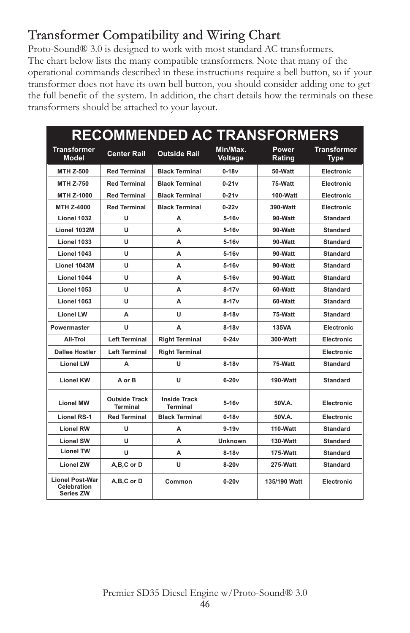# Transformer Compatibility and Wiring Chart

Proto-Sound® 3.0 is designed to work with most standard AC transformers. The chart below lists the many compatible transformers. Note that many of the operational commands described in these instructions require a bell button, so if your transformer does not have its own bell button, you should consider adding one to get the full benefit of the system. In addition, the chart details how the terminals on these transformers should be attached to your layout.

| <b>RECOMMENDED AC TRANSFORMERS</b>                        |                                         |                                        |                     |                 |                                   |
|-----------------------------------------------------------|-----------------------------------------|----------------------------------------|---------------------|-----------------|-----------------------------------|
| <b>Transformer</b><br><b>Model</b>                        | <b>Center Rail</b>                      | <b>Outside Rail</b>                    | Min/Max.<br>Voltage | Power<br>Rating | <b>Transformer</b><br><b>Type</b> |
| <b>MTH Z-500</b>                                          | <b>Red Terminal</b>                     | <b>Black Terminal</b>                  | $0-18v$             | 50-Watt         | Electronic                        |
| <b>MTH Z-750</b>                                          | <b>Red Terminal</b>                     | <b>Black Terminal</b>                  | $0-21v$             | 75-Watt         | Electronic                        |
| MTH Z-1000                                                | <b>Red Terminal</b>                     | <b>Black Terminal</b>                  | $0-21v$             | 100-Watt        | Electronic                        |
| <b>MTH Z-4000</b>                                         | <b>Red Terminal</b>                     | <b>Black Terminal</b>                  | $0 - 22v$           | 390-Watt        | Electronic                        |
| Lionel 1032                                               | U                                       | A                                      | $5-16v$             | 90-Watt         | <b>Standard</b>                   |
| Lionel 1032M                                              | u                                       | А                                      | $5-16v$             | 90-Watt         | <b>Standard</b>                   |
| Lionel 1033                                               | U                                       | А                                      | $5-16v$             | 90-Watt         | <b>Standard</b>                   |
| Lionel 1043                                               | U                                       | A                                      | $5-16v$             | 90-Watt         | <b>Standard</b>                   |
| Lionel 1043M                                              | U                                       | A                                      | $5-16v$             | 90-Watt         | <b>Standard</b>                   |
| Lionel 1044                                               | U                                       | А                                      | $5-16v$             | 90-Watt         | <b>Standard</b>                   |
| Lionel 1053                                               | u                                       | А                                      | $8 - 17v$           | 60-Watt         | <b>Standard</b>                   |
| Lionel 1063                                               | U                                       | A                                      | $8-17v$             | 60-Watt         | <b>Standard</b>                   |
| <b>Lionel LW</b>                                          | A                                       | U                                      | $8-18v$             | 75-Watt         | <b>Standard</b>                   |
| Powermaster                                               | U                                       | A                                      | $8-18v$             | <b>135VA</b>    | Electronic                        |
| All-Trol                                                  | <b>Left Terminal</b>                    | <b>Right Terminal</b>                  | $0 - 24v$           | 300-Watt        | <b>Electronic</b>                 |
| <b>Dallee Hostler</b>                                     | <b>Left Terminal</b>                    | <b>Right Terminal</b>                  |                     |                 | Electronic                        |
| <b>Lionel LW</b>                                          | A                                       | U                                      | $8-18v$             | 75-Watt         | <b>Standard</b>                   |
| <b>Lionel KW</b>                                          | A or B                                  | U                                      | $6-20v$             | 190-Watt        | <b>Standard</b>                   |
| <b>Lionel MW</b>                                          | <b>Outside Track</b><br><b>Terminal</b> | <b>Inside Track</b><br><b>Terminal</b> | $5-16v$             | 50V.A.          | Electronic                        |
| <b>Lionel RS-1</b>                                        | <b>Red Terminal</b>                     | <b>Black Terminal</b>                  | $0-18v$             | 50V.A.          | Electronic                        |
| <b>Lionel RW</b>                                          | U                                       | A                                      | $9-19v$             | 110-Watt        | <b>Standard</b>                   |
| <b>Lionel SW</b>                                          | u                                       | А                                      | <b>Unknown</b>      | 130-Watt        | <b>Standard</b>                   |
| <b>Lionel TW</b>                                          | u                                       | А                                      | $8-18v$             | 175-Watt        | <b>Standard</b>                   |
| <b>Lionel ZW</b>                                          | A,B,C or D                              | U                                      | $8-20v$             | 275-Watt        | <b>Standard</b>                   |
| <b>Lionel Post-War</b><br>Celebration<br><b>Series ZW</b> | A,B,C or D                              | Common                                 | $0 - 20v$           | 135/190 Watt    | Electronic                        |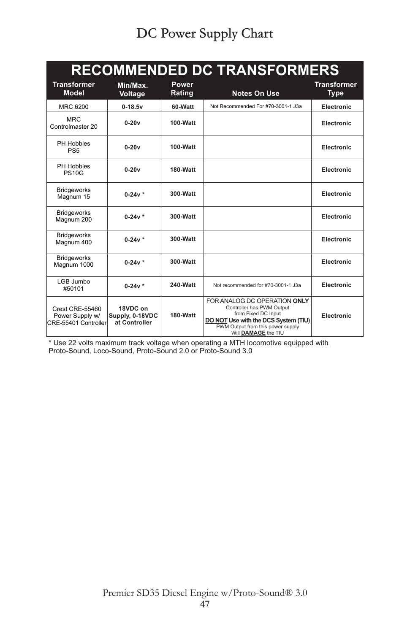| <b>RECOMMENDED DC TRANSFORMERS</b>                                |                                              |                        |                                                                                                                                                                                      |                                   |  |
|-------------------------------------------------------------------|----------------------------------------------|------------------------|--------------------------------------------------------------------------------------------------------------------------------------------------------------------------------------|-----------------------------------|--|
| <b>Transformer</b><br>Model                                       | Min/Max.<br>Voltage                          | <b>Power</b><br>Rating | <b>Notes On Use</b>                                                                                                                                                                  | <b>Transformer</b><br><b>Type</b> |  |
| MRC 6200                                                          | $0 - 18.5v$                                  | 60-Watt                | Not Recommended For #70-3001-1 J3a                                                                                                                                                   | Electronic                        |  |
| <b>MRC</b><br>Controlmaster 20                                    | $0-20v$                                      | 100-Watt               |                                                                                                                                                                                      | Electronic                        |  |
| PH Hobbies<br>PS <sub>5</sub>                                     | $0-20v$                                      | 100-Watt               |                                                                                                                                                                                      | Electronic                        |  |
| PH Hobbies<br><b>PS10G</b>                                        | $0-20v$                                      | 180-Watt               |                                                                                                                                                                                      | Electronic                        |  |
| <b>Bridgeworks</b><br>Magnum 15                                   | $0 - 24v *$                                  | 300-Watt               |                                                                                                                                                                                      | Electronic                        |  |
| <b>Bridgeworks</b><br>Magnum 200                                  | $0-24v *$                                    | 300-Watt               |                                                                                                                                                                                      | Electronic                        |  |
| <b>Bridgeworks</b><br>Magnum 400                                  | $0-24v *$                                    | 300-Watt               |                                                                                                                                                                                      | Electronic                        |  |
| <b>Bridgeworks</b><br>Magnum 1000                                 | $0-24v *$                                    | 300-Watt               |                                                                                                                                                                                      | Electronic                        |  |
| LGB Jumbo<br>#50101                                               | $0-24v *$                                    | 240-Watt               | Not recommended for #70-3001-1 J3a                                                                                                                                                   | Electronic                        |  |
| <b>Crest CRE-55460</b><br>Power Supply w/<br>CRE-55401 Controller | 18VDC on<br>Supply, 0-18VDC<br>at Controller | 180-Watt               | FOR ANALOG DC OPERATION ONLY<br>Controller has PWM Output<br>from Fixed DC Input<br>DO NOT Use with the DCS System (TIU)<br>PWM Output from this power supply<br>Will DAMAGE the TIU | Electronic                        |  |

\* Use 22 volts maximum track voltage when operating a MTH locomotive equipped with Proto-Sound, Loco-Sound, Proto-Sound 2.0 or Proto-Sound 3.0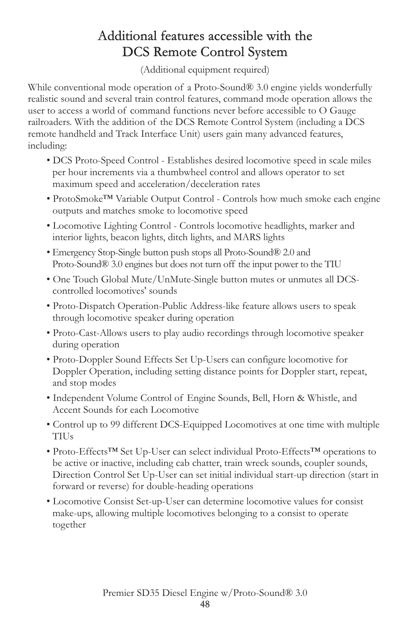# Additional features accessible with the DCS Remote Control System

(Additional equipment required)

While conventional mode operation of a Proto-Sound® 3.0 engine yields wonderfully realistic sound and several train control features, command mode operation allows the user to access a world of command functions never before accessible to O Gauge railroaders. With the addition of the DCS Remote Control System (including a DCS remote handheld and Track Interface Unit) users gain many advanced features, including:

- DCS Proto-Speed Control Establishes desired locomotive speed in scale miles per hour increments via a thumbwheel control and allows operator to set maximum speed and acceleration/deceleration rates
- ProtoSmoke™ Variable Output Control Controls how much smoke each engine outputs and matches smoke to locomotive speed
- Locomotive Lighting Control Controls locomotive headlights, marker and interior lights, beacon lights, ditch lights, and MARS lights
- Emergency Stop-Single button push stops all Proto-Sound® 2.0 and Proto-Sound® 3.0 engines but does not turn off the input power to the TIU
- One Touch Global Mute/UnMute-Single button mutes or unmutes all DCScontrolled locomotives' sounds
- Proto-Dispatch Operation-Public Address-like feature allows users to speak through locomotive speaker during operation
- Proto-Cast-Allows users to play audio recordings through locomotive speaker during operation
- Proto-Doppler Sound Effects Set Up-Users can configure locomotive for Doppler Operation, including setting distance points for Doppler start, repeat, and stop modes
- Independent Volume Control of Engine Sounds, Bell, Horn & Whistle, and Accent Sounds for each Locomotive
- Control up to 99 different DCS-Equipped Locomotives at one time with multiple TIUs
- Proto-Effects™ Set Up-User can select individual Proto-Effects™ operations to be active or inactive, including cab chatter, train wreck sounds, coupler sounds, Direction Control Set Up-User can set initial individual start-up direction (start in forward or reverse) for double-heading operations
- Locomotive Consist Set-up-User can determine locomotive values for consist make-ups, allowing multiple locomotives belonging to a consist to operate together